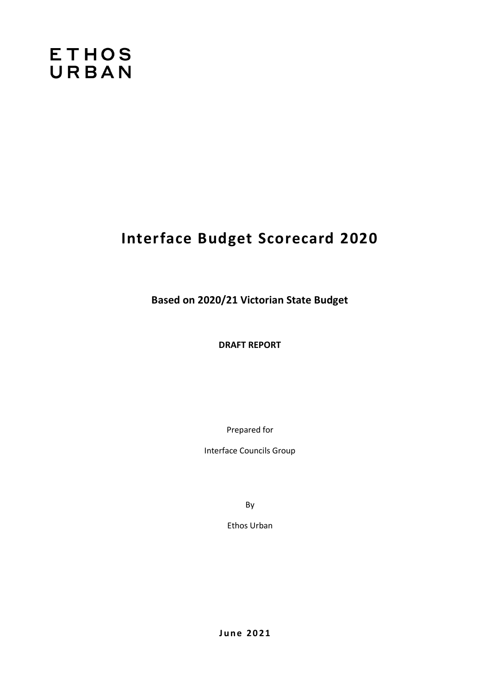# **ETHOS** URBAN

# **Interface Budget Scorecard 2020**

**Based on 2020/21 Victorian State Budget**

**DRAFT REPORT**

Prepared for

Interface Councils Group

By

Ethos Urban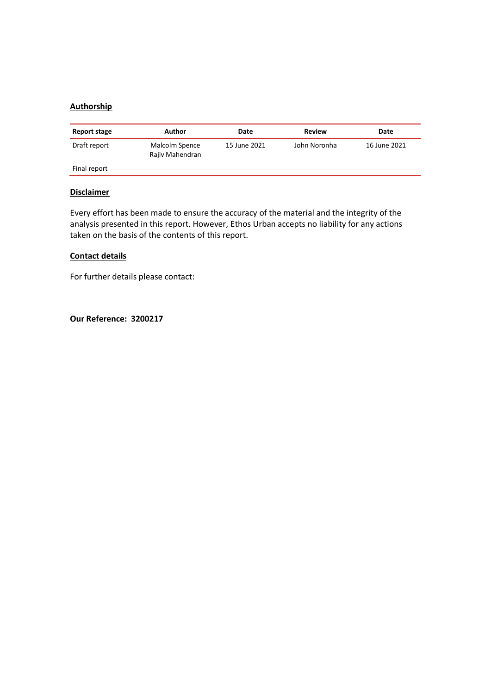## **Authorship**

| Report stage | Author                            | Date         | Review       | Date         |
|--------------|-----------------------------------|--------------|--------------|--------------|
| Draft report | Malcolm Spence<br>Rajiv Mahendran | 15 June 2021 | John Noronha | 16 June 2021 |
| Final report |                                   |              |              |              |

## **Disclaimer**

Every effort has been made to ensure the accuracy of the material and the integrity of the analysis presented in this report. However, Ethos Urban accepts no liability for any actions taken on the basis of the contents of this report.

### **Contact details**

For further details please contact:

**Our Reference: 3200217**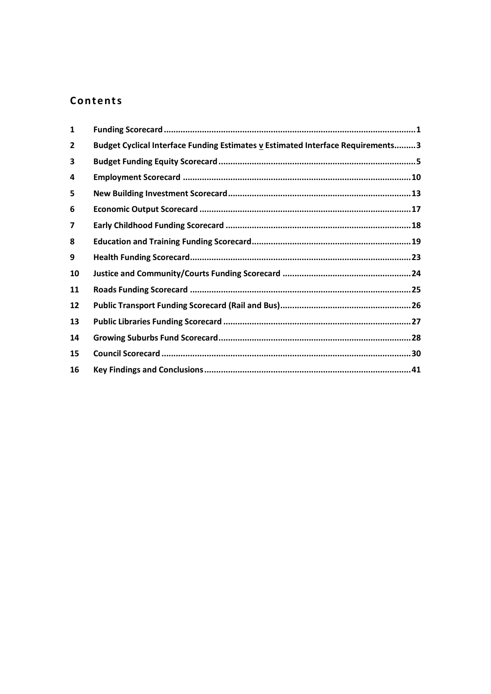## Contents

| $\mathbf{1}$   |                                                                                  |  |
|----------------|----------------------------------------------------------------------------------|--|
| $\overline{2}$ | Budget Cyclical Interface Funding Estimates v Estimated Interface Requirements 3 |  |
| 3              |                                                                                  |  |
| 4              |                                                                                  |  |
| 5              |                                                                                  |  |
| 6              |                                                                                  |  |
| 7              |                                                                                  |  |
| 8              |                                                                                  |  |
| 9              |                                                                                  |  |
| 10             |                                                                                  |  |
| 11             |                                                                                  |  |
| 12             |                                                                                  |  |
| 13             |                                                                                  |  |
| 14             |                                                                                  |  |
| 15             |                                                                                  |  |
| 16             |                                                                                  |  |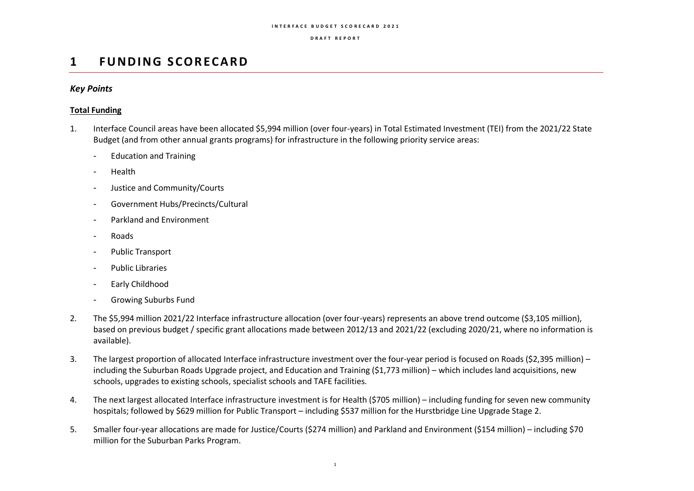### **D R A F T R E P O R T**

## **1 FUNDING SCORECARD**

## *Key Points*

## **Total Funding**

- 1. Interface Council areas have been allocated \$5,994 million (over four-years) in Total Estimated Investment (TEI) from the 2021/22 State Budget (and from other annual grants programs) for infrastructure in the following priority service areas:
	- Education and Training
	- Health
	- Justice and Community/Courts
	- Government Hubs/Precincts/Cultural
	- Parkland and Environment
	- Roads
	- Public Transport
	- Public Libraries
	- Early Childhood
	- Growing Suburbs Fund
- 2. The \$5,994 million 2021/22 Interface infrastructure allocation (over four-years) represents an above trend outcome (\$3,105 million), based on previous budget / specific grant allocations made between 2012/13 and 2021/22 (excluding 2020/21, where no information is available).
- 3. The largest proportion of allocated Interface infrastructure investment over the four-year period is focused on Roads (\$2,395 million) including the Suburban Roads Upgrade project, and Education and Training (\$1,773 million) – which includes land acquisitions, new schools, upgrades to existing schools, specialist schools and TAFE facilities.
- 4. The next largest allocated Interface infrastructure investment is for Health (\$705 million) including funding for seven new community hospitals; followed by \$629 million for Public Transport – including \$537 million for the Hurstbridge Line Upgrade Stage 2.
- 5. Smaller four-year allocations are made for Justice/Courts (\$274 million) and Parkland and Environment (\$154 million) including \$70 million for the Suburban Parks Program.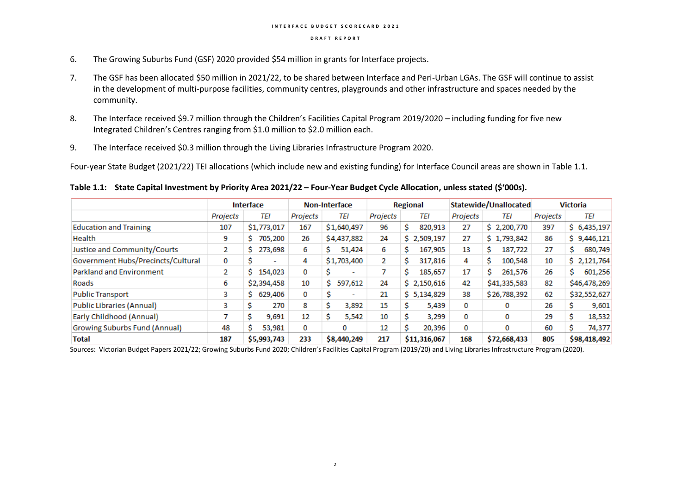- 6. The Growing Suburbs Fund (GSF) 2020 provided \$54 million in grants for Interface projects.
- 7. The GSF has been allocated \$50 million in 2021/22, to be shared between Interface and Peri-Urban LGAs. The GSF will continue to assist in the development of multi-purpose facilities, community centres, playgrounds and other infrastructure and spaces needed by the community.
- 8. The Interface received \$9.7 million through the Children's Facilities Capital Program 2019/2020 including funding for five new Integrated Children's Centres ranging from \$1.0 million to \$2.0 million each.
- 9. The Interface received \$0.3 million through the Living Libraries Infrastructure Program 2020.

Four-year State Budget (2021/22) TEI allocations (which include new and existing funding) for Interface Council areas are shown in Table 1.1.

**Table 1.1: State Capital Investment by Priority Area 2021/22 – Four-Year Budget Cycle Allocation, unless stated (\$'000s).**

|                                    | Interface |                          | <b>Non-Interface</b> |                |          | <b>Regional</b> |          | Statewide/Unallocated | <b>Victoria</b> |              |  |
|------------------------------------|-----------|--------------------------|----------------------|----------------|----------|-----------------|----------|-----------------------|-----------------|--------------|--|
|                                    | Projects  | TEI                      | Projects             | TEI            | Projects | TEI             | Projects | TEI                   | Projects        | TEI          |  |
| <b>Education and Training</b>      | 107       | \$1,773,017              | 167                  | \$1,640,497    | 96       | S.<br>820,913   | 27       | \$2,200,770           | 397             | \$6,435,197  |  |
| <b>Health</b>                      | 9         | 705,200<br>S.            | 26                   | \$4,437,882    | 24       | \$2,509,197     | 27       | \$1,793,842           | 86              | \$9,446,121  |  |
| Justice and Community/Courts       | 2         | 273,698<br>S.            | 6                    | 51,424<br>s    | 6        | 167,905<br>S    | 13       | 187,722<br>s          | 27              | 680,749<br>s |  |
| Government Hubs/Precincts/Cultural | 0         | $\overline{\phantom{a}}$ | 4                    | \$1,703,400    | 2        | 317,816<br>S    | 4        | 100,548               | 10              | \$2,121,764  |  |
| Parkland and Environment           | 2         | 154,023                  | 0                    | $\blacksquare$ |          | 185,657         | 17       | 261,576               | 26              | 601,256<br>s |  |
| Roads                              | 6         | \$2,394,458              | 10                   | 597,612<br>Ś   | 24       | \$2,150,616     | 42       | \$41,335,583          | 82              | \$46,478,269 |  |
| Public Transport                   | 3         | \$629,406                | 0                    | ۰.             | 21       | \$5,134,829     | 38       | \$26,788,392          | 62              | \$32,552,627 |  |
| Public Libraries (Annual)          | 3         | 270<br>s                 | 8                    | 3,892          | 15       | s<br>5,439      | 0        | 0                     | 26              | 9,601        |  |
| Early Childhood (Annual)           |           | 9,691                    | 12                   | 5,542          | 10       | 3,299           | 0        | 0                     | 29              | 18,532       |  |
| Growing Suburbs Fund (Annual)      | 48        | 53,981                   | 0                    | 0              | 12       | 20,396          | 0        | 0                     | 60              | 74,377       |  |
| <b>Total</b>                       | 187       | \$5,993,743              | 233                  | \$8,440,249    | 217      | \$11,316,067    | 168      | \$72,668,433          | 805             | \$98,418,492 |  |

Sources: Victorian Budget Papers 2021/22; Growing Suburbs Fund 2020; Children's Facilities Capital Program (2019/20) and Living Libraries Infrastructure Program (2020).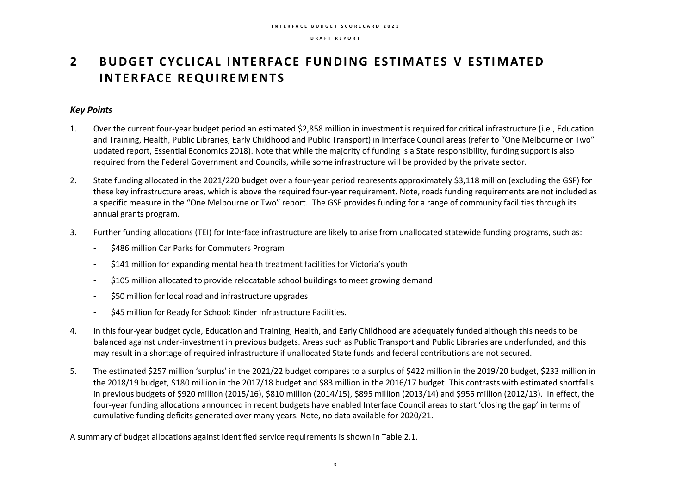## **2** BUDGET CYCLICAL INTERFACE FUNDING ESTIMATES V ESTIMATED **INTERFACE REQUIREMENTS**

## *Key Points*

- 1. Over the current four-year budget period an estimated \$2,858 million in investment is required for critical infrastructure (i.e., Education and Training, Health, Public Libraries, Early Childhood and Public Transport) in Interface Council areas (refer to "One Melbourne or Two" updated report, Essential Economics 2018). Note that while the majority of funding is a State responsibility, funding support is also required from the Federal Government and Councils, while some infrastructure will be provided by the private sector.
- 2. State funding allocated in the 2021/220 budget over a four-year period represents approximately \$3,118 million (excluding the GSF) for these key infrastructure areas, which is above the required four-year requirement. Note, roads funding requirements are not included as a specific measure in the "One Melbourne or Two" report. The GSF provides funding for a range of community facilities through its annual grants program.
- 3. Further funding allocations (TEI) for Interface infrastructure are likely to arise from unallocated statewide funding programs, such as:
	- \$486 million Car Parks for Commuters Program
	- \$141 million for expanding mental health treatment facilities for Victoria's youth
	- \$105 million allocated to provide relocatable school buildings to meet growing demand
	- \$50 million for local road and infrastructure upgrades
	- \$45 million for Ready for School: Kinder Infrastructure Facilities.
- 4. In this four-year budget cycle, Education and Training, Health, and Early Childhood are adequately funded although this needs to be balanced against under-investment in previous budgets. Areas such as Public Transport and Public Libraries are underfunded, and this may result in a shortage of required infrastructure if unallocated State funds and federal contributions are not secured.
- 5. The estimated \$257 million 'surplus' in the 2021/22 budget compares to a surplus of \$422 million in the 2019/20 budget, \$233 million in the 2018/19 budget, \$180 million in the 2017/18 budget and \$83 million in the 2016/17 budget. This contrasts with estimated shortfalls in previous budgets of \$920 million (2015/16), \$810 million (2014/15), \$895 million (2013/14) and \$955 million (2012/13). In effect, the four-year funding allocations announced in recent budgets have enabled Interface Council areas to start 'closing the gap' in terms of cumulative funding deficits generated over many years. Note, no data available for 2020/21.

A summary of budget allocations against identified service requirements is shown in Table 2.1.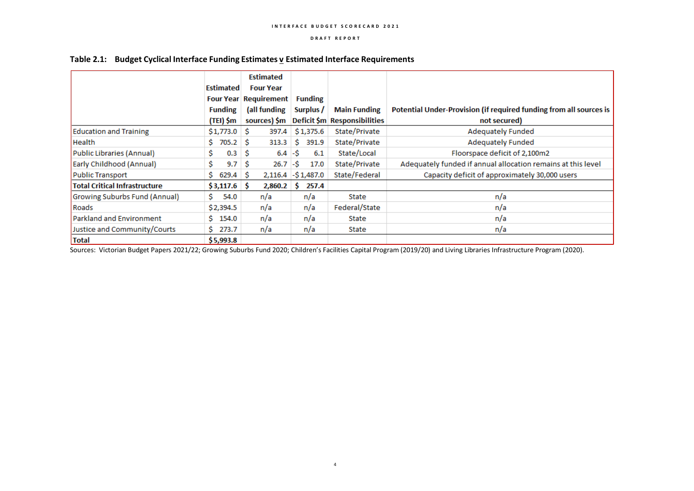|                                      |                  | <b>Estimated</b>             |                      |                              |                                                                    |
|--------------------------------------|------------------|------------------------------|----------------------|------------------------------|--------------------------------------------------------------------|
|                                      | <b>Estimated</b> | <b>Four Year</b>             |                      |                              |                                                                    |
|                                      |                  | <b>Four Year Requirement</b> | <b>Funding</b>       |                              |                                                                    |
|                                      | <b>Funding</b>   | (all funding                 | Surplus /            | <b>Main Funding</b>          | Potential Under-Provision (if required funding from all sources is |
|                                      | (TEI) \$m        | sources) \$m                 |                      | Deficit \$m Responsibilities | not secured)                                                       |
| <b>Education and Training</b>        | $$1,773.0$ \$    | 397.4                        | \$1,375.6            | State/Private                | <b>Adequately Funded</b>                                           |
| <b>Health</b>                        | $705.2$ \$<br>s  | 313.3                        | 391.9<br>S           | State/Private                | Adequately Funded                                                  |
| Public Libraries (Annual)            | Ŝ.<br>0.3        | $6.4 - $$<br>-S              | 6.1                  | State/Local                  | Floorspace deficit of 2,100m2                                      |
| Early Childhood (Annual)             | Ś.<br>9.7        | 26.7<br>s                    | ŀ\$<br>17.0          | State/Private                | Adequately funded if annual allocation remains at this level       |
| Public Transport                     | 629.4<br>S.      | - S                          | $2,116.4$ -\$1,487.0 | State/Federal                | Capacity deficit of approximately 30,000 users                     |
| <b>Total Critical Infrastructure</b> | $$3,117.6$ \$    | 2,860.2                      | 257.4<br>s           |                              |                                                                    |
| Growing Suburbs Fund (Annual)        | Ŝ.<br>54.0       | n/a                          | n/a                  | State                        | n/a                                                                |
| Roads                                | \$2,394.5        | n/a                          | n/a                  | Federal/State                | n/a                                                                |
| <b>Parkland and Environment</b>      | 154.0<br>s.      | n/a                          | n/a                  | State                        | n/a                                                                |
| Justice and Community/Courts         | 273.7<br>S.      | n/a                          | n/a                  | State                        | n/a                                                                |
| <b>Total</b>                         | \$5,993.8        |                              |                      |                              |                                                                    |

### **Table 2.1: Budget Cyclical Interface Funding Estimates v Estimated Interface Requirements**

Sources: Victorian Budget Papers 2021/22; Growing Suburbs Fund 2020; Children's Facilities Capital Program (2019/20) and Living Libraries Infrastructure Program (2020).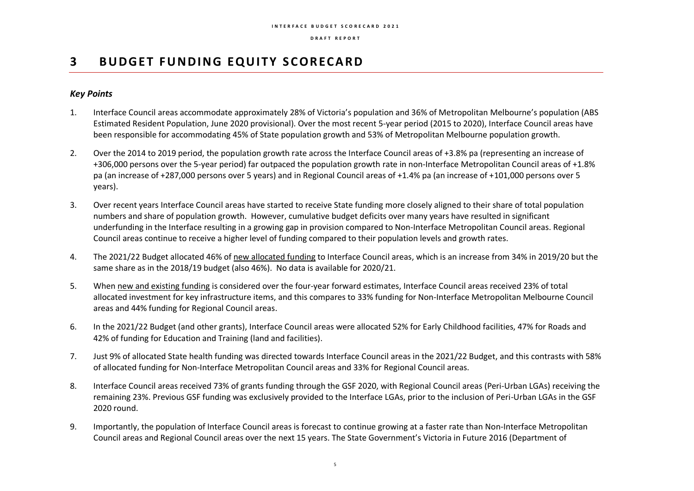## **3** BUDGET FUNDING EQUITY SCORECARD

## *Key Points*

- 1. Interface Council areas accommodate approximately 28% of Victoria's population and 36% of Metropolitan Melbourne's population (ABS Estimated Resident Population, June 2020 provisional). Over the most recent 5-year period (2015 to 2020), Interface Council areas have been responsible for accommodating 45% of State population growth and 53% of Metropolitan Melbourne population growth.
- 2. Over the 2014 to 2019 period, the population growth rate across the Interface Council areas of +3.8% pa (representing an increase of +306,000 persons over the 5-year period) far outpaced the population growth rate in non-Interface Metropolitan Council areas of +1.8% pa (an increase of +287,000 persons over 5 years) and in Regional Council areas of +1.4% pa (an increase of +101,000 persons over 5 years).
- 3. Over recent years Interface Council areas have started to receive State funding more closely aligned to their share of total population numbers and share of population growth. However, cumulative budget deficits over many years have resulted in significant underfunding in the Interface resulting in a growing gap in provision compared to Non-Interface Metropolitan Council areas. Regional Council areas continue to receive a higher level of funding compared to their population levels and growth rates.
- 4. The 2021/22 Budget allocated 46% of new allocated funding to Interface Council areas, which is an increase from 34% in 2019/20 but the same share as in the 2018/19 budget (also 46%). No data is available for 2020/21.
- 5. When new and existing funding is considered over the four-year forward estimates, Interface Council areas received 23% of total allocated investment for key infrastructure items, and this compares to 33% funding for Non-Interface Metropolitan Melbourne Council areas and 44% funding for Regional Council areas.
- 6. In the 2021/22 Budget (and other grants), Interface Council areas were allocated 52% for Early Childhood facilities, 47% for Roads and 42% of funding for Education and Training (land and facilities).
- 7. Just 9% of allocated State health funding was directed towards Interface Council areas in the 2021/22 Budget, and this contrasts with 58% of allocated funding for Non-Interface Metropolitan Council areas and 33% for Regional Council areas.
- 8. Interface Council areas received 73% of grants funding through the GSF 2020, with Regional Council areas (Peri-Urban LGAs) receiving the remaining 23%. Previous GSF funding was exclusively provided to the Interface LGAs, prior to the inclusion of Peri-Urban LGAs in the GSF 2020 round.
- 9. Importantly, the population of Interface Council areas is forecast to continue growing at a faster rate than Non-Interface Metropolitan Council areas and Regional Council areas over the next 15 years. The State Government's Victoria in Future 2016 (Department of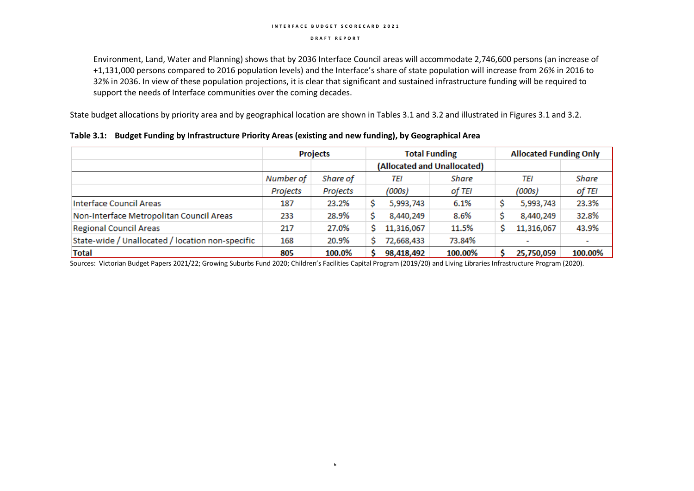#### **D R A F T R E P O R T**

Environment, Land, Water and Planning) shows that by 2036 Interface Council areas will accommodate 2,746,600 persons (an increase of +1,131,000 persons compared to 2016 population levels) and the Interface's share of state population will increase from 26% in 2016 to 32% in 2036. In view of these population projections, it is clear that significant and sustained infrastructure funding will be required to support the needs of Interface communities over the coming decades.

State budget allocations by priority area and by geographical location are shown in Tables 3.1 and 3.2 and illustrated in Figures 3.1 and 3.2.

|                                                  |           | <b>Projects</b> | <b>Total Funding</b>        |              |         |  | <b>Allocated Funding Only</b> |                          |  |
|--------------------------------------------------|-----------|-----------------|-----------------------------|--------------|---------|--|-------------------------------|--------------------------|--|
|                                                  |           |                 | (Allocated and Unallocated) |              |         |  |                               |                          |  |
|                                                  | Number of | Share of        |                             | Share<br>TEI |         |  | TEI                           | Share                    |  |
|                                                  | Projects  | Projects        |                             | (000s)       | of TEI  |  | (000s)                        | of TEI                   |  |
| Interface Council Areas                          | 187       | 23.2%           |                             | 5,993,743    | 6.1%    |  | 5,993,743                     | 23.3%                    |  |
| Non-Interface Metropolitan Council Areas         | 233       | 28.9%           |                             | 8,440,249    | 8.6%    |  | 8,440,249                     | 32.8%                    |  |
| <b>Regional Council Areas</b>                    | 217       | 27.0%           |                             | 11,316,067   | 11.5%   |  | 11,316,067                    | 43.9%                    |  |
| State-wide / Unallocated / location non-specific | 168       | 20.9%           |                             | 72,668,433   | 73.84%  |  |                               | $\overline{\phantom{a}}$ |  |
| Total                                            | 805       | 100.0%          |                             | 98,418,492   | 100.00% |  | 25,750,059                    | 100.00%                  |  |

### **Table 3.1: Budget Funding by Infrastructure Priority Areas (existing and new funding), by Geographical Area**

Sources: Victorian Budget Papers 2021/22; Growing Suburbs Fund 2020; Children's Facilities Capital Program (2019/20) and Living Libraries Infrastructure Program (2020).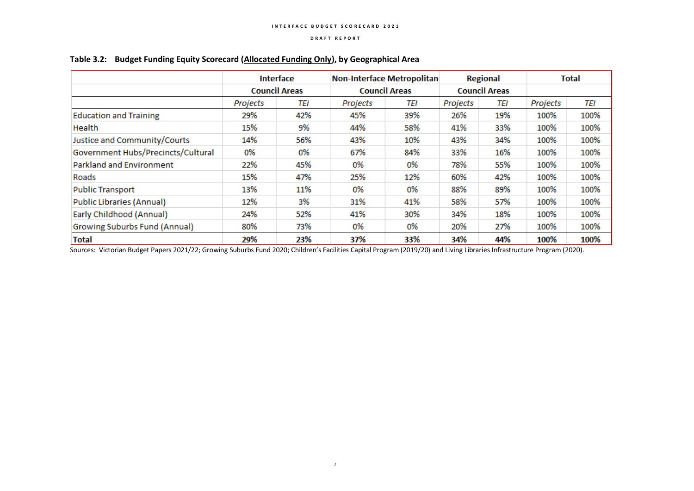|                                    | <b>Interface</b>     |     | Non-Interface Metropolitan |     |          | <b>Regional</b>      | <b>Total</b> |      |  |
|------------------------------------|----------------------|-----|----------------------------|-----|----------|----------------------|--------------|------|--|
|                                    | <b>Council Areas</b> |     | <b>Council Areas</b>       |     |          | <b>Council Areas</b> |              |      |  |
|                                    | Projects             | TEI | Projects                   | TEI | Projects | <b>TEI</b>           | Projects     | TEI  |  |
| <b>Education and Training</b>      | 29%                  | 42% | 45%                        | 39% | 26%      | 19%                  | 100%         | 100% |  |
| Health                             | 15%                  | 9%  | 44%                        | 58% | 41%      | 33%                  | 100%         | 100% |  |
| Justice and Community/Courts       | 14%                  | 56% | 43%                        | 10% | 43%      | 34%                  | 100%         | 100% |  |
| Government Hubs/Precincts/Cultural | 0%                   | 0%  | 67%                        | 84% | 33%      | 16%                  | 100%         | 100% |  |
| Parkland and Environment           | 22%                  | 45% | 0%                         | 0%  | 78%      | 55%                  | 100%         | 100% |  |
| Roads                              | 15%                  | 47% | 25%                        | 12% | 60%      | 42%                  | 100%         | 100% |  |
| Public Transport                   | 13%                  | 11% | 0%                         | 0%  | 88%      | 89%                  | 100%         | 100% |  |
| Public Libraries (Annual)          | 12%                  | 3%  | 31%                        | 41% | 58%      | 57%                  | 100%         | 100% |  |
| Early Childhood (Annual)           | 24%                  | 52% | 41%                        | 30% | 34%      | 18%                  | 100%         | 100% |  |
| Growing Suburbs Fund (Annual)      | 80%                  | 73% | 0%                         | 0%  | 20%      | 27%                  | 100%         | 100% |  |
| <b>Total</b>                       | 29%                  | 23% | 37%                        | 33% | 34%      | 44%                  | 100%         | 100% |  |

## **Table 3.2: Budget Funding Equity Scorecard (Allocated Funding Only), by Geographical Area**

Sources: Victorian Budget Papers 2021/22; Growing Suburbs Fund 2020; Children's Facilities Capital Program (2019/20) and Living Libraries Infrastructure Program (2020).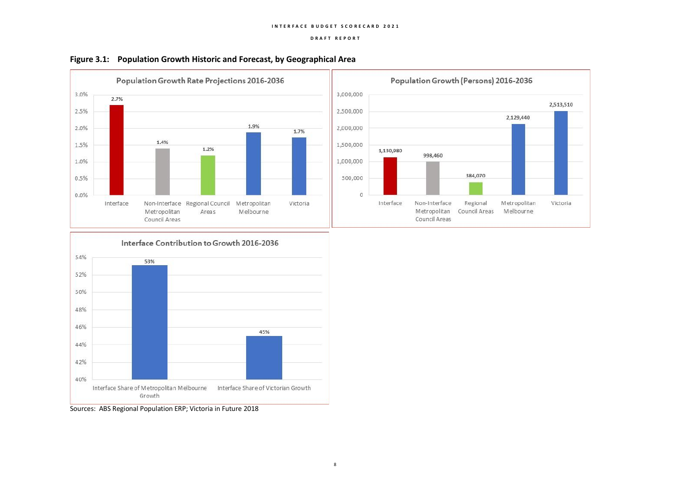







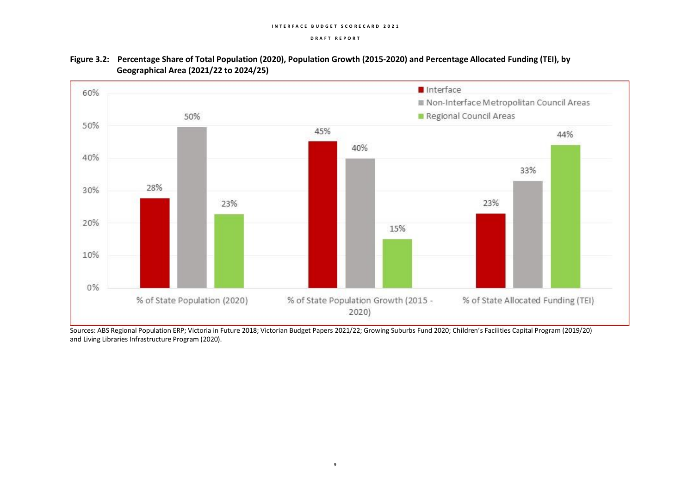

## **Figure 3.2: Percentage Share of Total Population (2020), Population Growth (2015-2020) and Percentage Allocated Funding (TEI), by Geographical Area (2021/22 to 2024/25)**

Sources: ABS Regional Population ERP; Victoria in Future 2018; Victorian Budget Papers 2021/22; Growing Suburbs Fund 2020; Children's Facilities Capital Program (2019/20) and Living Libraries Infrastructure Program (2020).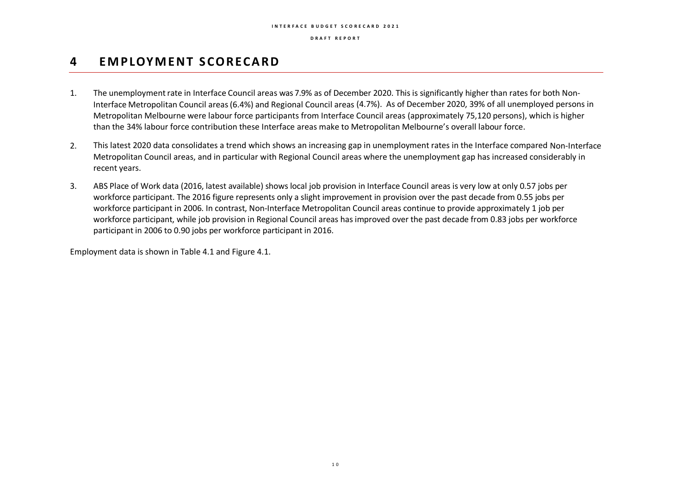**D R A F T R E P O R T**

## **4 EM P LOY M E N T S CO R ECA R D**

- 1. The unemployment rate in Interface Council areas was 7.9% as of December 2020. This is significantly higher than rates for both Non-Interface Metropolitan Council areas(6.4%) and Regional Council areas (4.7%). As of December 2020, 39% of all unemployed persons in Metropolitan Melbourne were labour force participants from Interface Council areas (approximately 75,120 persons), which is higher than the 34% labour force contribution these Interface areas make to Metropolitan Melbourne's overall labour force.
- 2. This latest 2020 data consolidates a trend which shows an increasing gap in unemployment rates in the Interface compared Non-Interface Metropolitan Council areas, and in particular with Regional Council areas where the unemployment gap has increased considerably in recent years.
- 3. ABS Place of Work data (2016, latest available) shows local job provision in Interface Council areas is very low at only 0.57 jobs per workforce participant. The 2016 figure represents only a slight improvement in provision over the past decade from 0.55 jobs per workforce participant in 2006. In contrast, Non-Interface Metropolitan Council areas continue to provide approximately 1 job per workforce participant, while job provision in Regional Council areas has improved over the past decade from 0.83 jobs per workforce participant in 2006 to 0.90 jobs per workforce participant in 2016.

Employment data is shown in Table 4.1 and Figure 4.1.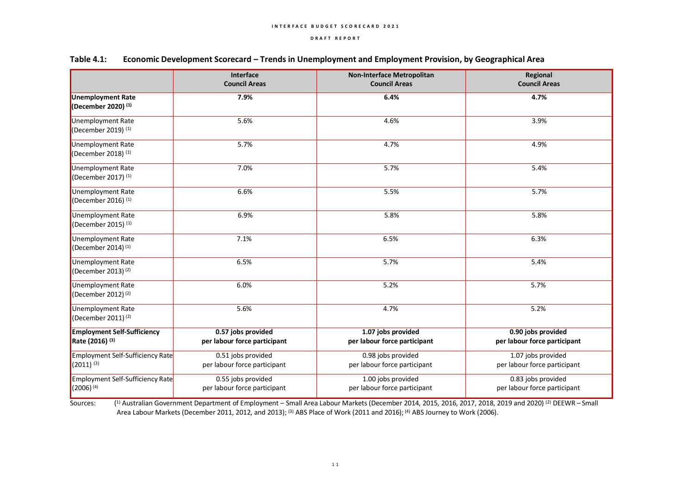|                                                                  | Interface<br><b>Council Areas</b>                  | <b>Non-Interface Metropolitan</b><br><b>Council Areas</b> | Regional<br><b>Council Areas</b>                   |  |  |
|------------------------------------------------------------------|----------------------------------------------------|-----------------------------------------------------------|----------------------------------------------------|--|--|
| <b>Unemployment Rate</b><br>(December 2020) (1)                  | 7.9%                                               | 6.4%                                                      | 4.7%                                               |  |  |
| Unemployment Rate<br>(December 2019) (1)                         | 5.6%                                               | 4.6%                                                      | 3.9%                                               |  |  |
| Unemployment Rate<br>(December 2018) <sup>(1)</sup>              | 5.7%                                               | 4.7%                                                      | 4.9%                                               |  |  |
| Unemployment Rate<br>(December 2017) <sup>(1)</sup>              | 7.0%                                               | 5.7%                                                      | 5.4%                                               |  |  |
| <b>Unemployment Rate</b><br>(December 2016) <sup>(1)</sup>       | 6.6%                                               | 5.5%                                                      | 5.7%                                               |  |  |
| Unemployment Rate<br>(December 2015) $(1)$                       | 6.9%                                               | 5.8%                                                      | 5.8%                                               |  |  |
| Unemployment Rate<br>(December 2014) <sup>(1)</sup>              | 7.1%                                               | 6.5%                                                      | 6.3%                                               |  |  |
| Unemployment Rate<br>(December 2013) <sup>(2)</sup>              | 6.5%                                               | 5.7%                                                      | 5.4%                                               |  |  |
| Unemployment Rate<br>(December 2012) <sup>(2)</sup>              | 6.0%                                               | 5.2%                                                      | 5.7%                                               |  |  |
| Unemployment Rate<br>(December 2011) <sup>(2)</sup>              | 5.6%                                               | 4.7%                                                      | 5.2%                                               |  |  |
| <b>Employment Self-Sufficiency</b><br>Rate (2016) <sup>(3)</sup> | 0.57 jobs provided<br>per labour force participant | 1.07 jobs provided<br>per labour force participant        | 0.90 jobs provided<br>per labour force participant |  |  |
| Employment Self-Sufficiency Rate<br>$(2011)^{(3)}$               | 0.51 jobs provided<br>per labour force participant | 0.98 jobs provided<br>per labour force participant        | 1.07 jobs provided<br>per labour force participant |  |  |
| Employment Self-Sufficiency Rate<br>$(2006)^{(4)}$               | 0.55 jobs provided<br>per labour force participant | 1.00 jobs provided<br>per labour force participant        | 0.83 jobs provided<br>per labour force participant |  |  |

## **Table 4.1: Economic Development Scorecard – Trends in Unemployment and Employment Provision, by Geographical Area**

Sources: <sup>1)</sup> Australian Government Department of Employment – Small Area Labour Markets (December 2014, 2015, 2016, 2017, 2018, 2019 and 2020) <sup>(2)</sup> DEEWR – Small Area Labour Markets (December 2011, 2012, and 2013); <sup>(3)</sup> ABS Place of Work (2011 and 2016); <sup>(4)</sup> ABS Journey to Work (2006).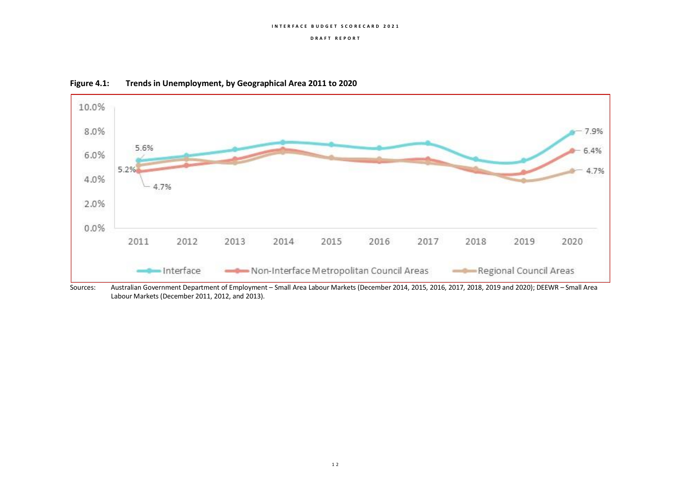#### **D R A F T R E P O R T**





Sources: Australian Government Department of Employment – Small Area Labour Markets (December 2014, 2015, 2016, 2017, 2018, 2019 and 2020); DEEWR – Small Area Labour Markets (December 2011, 2012, and 2013).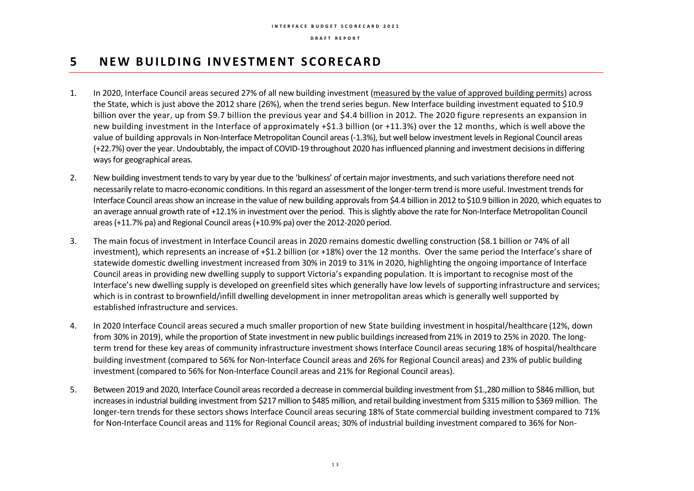## **5 N E W B U I L D I N G I N V EST M E N T S CO R ECA R D**

- 1. In 2020, Interface Council areas secured 27% of all new building investment (measured by the value of approved building permits) across the State, which is just above the 2012 share (26%), when the trend series begun. New Interface building investment equated to \$10.9 billion over the year, up from \$9.7 billion the previous year and \$4.4 billion in 2012. The 2020 figure represents an expansion in new building investment in the Interface of approximately +\$1.3 billion (or +11.3%) over the 12 months, which is well above the value of building approvals in Non-Interface Metropolitan Council areas (-1.3%), but well below investment levels in Regional Council areas (+22.7%) over the year.Undoubtably, the impact of COVID-19 throughout 2020 has influenced planning and investment decisions in differing ways for geographical areas.
- 2. New building investment tends to vary by year due to the 'bulkiness' of certain major investments, and such variations therefore need not necessarily relate to macro-economic conditions. In this regard an assessment of the longer-term trend is more useful. Investment trendsfor Interface Council areas show an increase in the value of new building approvals from \$4.4 billion in 2012 to \$10.9 billion in 2020, which equates to an average annual growth rate of +12.1% in investment over the period. This is slightly above the rate for Non-Interface Metropolitan Council areas (+11.7% pa) and Regional Council areas (+10.9% pa) over the 2012-2020 period.
- 3. The main focus of investment in Interface Council areas in 2020 remains domestic dwelling construction (\$8.1 billion or 74% of all investment), which represents an increase of +\$1.2 billion (or +18%) over the 12 months. Over the same period the Interface's share of statewide domestic dwelling investment increased from 30% in 2019 to 31% in 2020, highlighting the ongoing importance of Interface Council areas in providing new dwelling supply to support Victoria's expanding population. It is important to recognise most of the Interface's new dwelling supply is developed on greenfield sites which generally have low levels of supporting infrastructure and services; which is in contrast to brownfield/infill dwelling development in inner metropolitan areas which is generally well supported by established infrastructure and services.
- 4. In 2020 Interface Council areas secured a much smaller proportion of new State building investmentin hospital/healthcare (12%, down from 30% in 2019), while the proportion of State investment in new public buildingsincreased from 21% in 2019 to 25% in 2020. The longterm trend for these key areas of community infrastructure investment shows Interface Council areas securing 18% of hospital/healthcare building investment (compared to 56% for Non-Interface Council areas and 26% for Regional Council areas) and 23% of public building investment (compared to 56% for Non-Interface Council areas and 21% for Regional Council areas).
- 5. Between 2019 and 2020, Interface Council areas recorded a decrease in commercial building investment from \$1.,280 million to \$846 million, but increases in industrial building investment from \$217 million to \$485 million, and retail building investment from \$315 million to \$369 million. The longer-tern trends for these sectors shows Interface Council areas securing 18% of State commercial building investment compared to 71% for Non-Interface Council areas and 11% for Regional Council areas; 30% of industrial building investment compared to 36% for Non-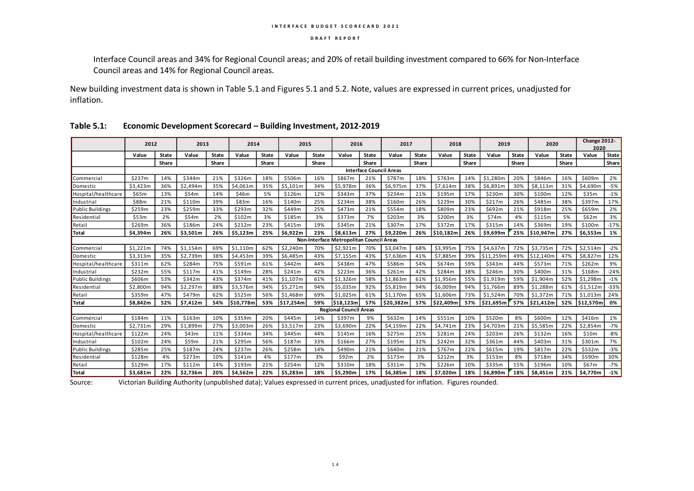Interface Council areas and 34% for Regional Council areas; and 20% of retail building investment compared to 66% for Non-Interface Council areas and 14% for Regional Council areas.

New building investment data is shown in Table 5.1 and Figures 5.1 and 5.2. Note, values are expressed in current prices, unadjusted for inflation.

|                         | 2012                                     |              | 2013     |              | 2014      |              | 2015      |              | 2016                          |              | 2017                           |              | 2018      |              | 2019      |              | 2020      |              | Change 2012-<br>2020 |              |
|-------------------------|------------------------------------------|--------------|----------|--------------|-----------|--------------|-----------|--------------|-------------------------------|--------------|--------------------------------|--------------|-----------|--------------|-----------|--------------|-----------|--------------|----------------------|--------------|
|                         | Value                                    | <b>State</b> | Value    | <b>State</b> | Value     | <b>State</b> | Value     | <b>State</b> | Value                         | <b>State</b> | Value                          | <b>State</b> | Value     | <b>State</b> | Value     | <b>State</b> | Value     | <b>State</b> | Value                | <b>State</b> |
|                         |                                          | Share        |          | Share        |           | Share        |           | Share        |                               | Share        |                                | Share        |           | Share        |           | Share        |           | Share        |                      | Share        |
|                         |                                          |              |          |              |           |              |           |              |                               |              | <b>Interface Council Areas</b> |              |           |              |           |              |           |              |                      |              |
| <b>Commercial</b>       | \$237m                                   | 14%          | \$344m   | 21%          | \$326m    | 18%          | \$506m    | 16%          | \$867m                        | 21%          | \$787m                         | 18%          | \$763m    | 14%          | \$1,280m  | 20%          | \$846m    | 16%          | \$609m               | 2%           |
| Domestic                | \$3,423m                                 | 36%          | \$2.494m | 35%          | \$4.061m  | 35%          | \$5.101m  | 34%          | \$5.978m                      | 36%          | \$6,975m                       | 37%          | \$7.614m  | 38%          | \$6,891m  | 30%          | \$8.113m  | 31%          | \$4.690m             | $-5%$        |
| Hospital/healthcare     | \$65m                                    | 13%          | \$54m    | 14%          | \$46m     | 5%           | \$126m    | 12%          | \$343m                        | 37%          | \$234m                         | 21%          | \$195m    | 17%          | \$230m    | 30%          | \$100m    | 12%          | \$35m                | $-1%$        |
| Industrial              | \$88m                                    | 21%          | \$110m   | 39%          | \$83m     | 16%          | \$140m    | 25%          | \$234m                        | 38%          | \$160m                         | 26%          | \$229m    | 30%          | \$217m    | 26%          | \$485m    | 38%          | \$397m               | 17%          |
| <b>Public Buildings</b> | \$259m                                   | 23%          | \$259m   | 33%          | \$293m    | 32%          | \$449m    | 25%          | \$473m                        | 21%          | \$554m                         | 18%          | \$809m    | 23%          | \$692m    | 21%          | \$918m    | 25%          | \$659m               | 2%           |
| Residential             | \$53m                                    | 2%           | \$54m    | 2%           | \$102m    | 3%           | \$185m    | 3%           | \$373m                        | 7%           | \$203m                         | 3%           | \$200m    | 3%           | \$74m     | 4%           | \$115m    | 5%           | \$62m                | 3%           |
| Retail                  | \$269m                                   | 36%          | \$186m   | 24%          | \$212m    | 23%          | \$415m    | 19%          | \$345m                        | 21%          | \$307m                         | 17%          | \$372m    | 17%          | \$315m    | 14%          | \$369m    | 19%          | \$100m               | $-17%$       |
| Total                   | \$4,394m                                 | 26%          | \$3,501m | 26%          | \$5,123m  | 25%          | \$6,922m  | 23%          | \$8,613m                      | 27%          | \$9,220m                       | 26%          | \$10,182m | 26%          | \$9,699m  | 25%          | \$10,947m | 27%          | \$6,553m             | 1%           |
|                         | Non-Interface Metropolitan Council Areas |              |          |              |           |              |           |              |                               |              |                                |              |           |              |           |              |           |              |                      |              |
| Commercial              | \$1,221m                                 | 74%          | \$1,154m | 69%          | \$1,110m  | 62%          | \$2,240m  | 70%          | \$2,921m                      | 70%          | \$3,047m                       | 68%          | \$3,995m  | 75%          | \$4,637m  | 72%          | \$3,735m  | 72%          | \$2,514m             | $-2%$        |
| <b>Domestic</b>         | \$3,313m                                 | 35%          | \$2,739m | 38%          | \$4,453m  | 39%          | \$6,485m  | 43%          | \$7,155m                      | 43%          | \$7,636m                       | 41%          | \$7,885m  | 39%          | \$11,259m | 49%          | \$12,140m | 47%          | \$8,827m             | 12%          |
| Hospital/healthcare     | \$311m                                   | 62%          | \$284m   | 75%          | \$591m    | 61%          | \$442m    | 44%          | \$438m                        | 47%          | \$586m                         | 54%          | \$674m    | 59%          | \$343m    | 44%          | \$573m    | 71%          | \$262m               | 9%           |
| <b>Industrial</b>       | \$232m                                   | 55%          | \$117m   | 41%          | \$149m    | 28%          | \$241m    | 42%          | \$223m                        | 36%          | \$261m                         | 42%          | \$284m    | 38%          | \$246m    | 30%          | \$400m    | 31%          | \$168m               | $-24%$       |
| <b>Public Buildings</b> | \$606m                                   | 53%          | \$342m   | 43%          | \$374m    | 41%          | \$1,107m  | 61%          | \$1,326m                      | 58%          | \$1,863m                       | 61%          | \$1,956m  | 55%          | \$1,919m  | 59%          | \$1,904m  | 52%          | \$1,298m             | $-1%$        |
| Residential             | \$2,800m                                 | 94%          | \$2,297m | 88%          | \$3,576m  | 94%          | \$5,271m  | 94%          | \$5,035m                      | 92%          | \$5,819m                       | 94%          | \$6,009m  | 94%          | \$1,766m  | 89%          | \$1,288m  | 61%          | $-$1,512m$           | $-33%$       |
| Retail                  | \$359m                                   | 47%          | \$479m   | 62%          | \$525m    | 56%          | \$1,468m  | 69%          | \$1,025m                      | 61%          | \$1,170m                       | 65%          | \$1,606m  | 73%          | \$1,524m  | 70%          | \$1,372m  | 71%          | \$1,013m             | 24%          |
| Total                   | \$8,842m                                 | 52%          | \$7,412m | 54%          | \$10,778m | 53%          | \$17,254m | 59%          | \$18.123m                     | 57%          | \$20,382m                      | 57%          | \$22,409m | 57%          | \$21,695m | 57%          | \$21,412m | 52%          | \$12,570m            | 0%           |
|                         |                                          |              |          |              |           |              |           |              | <b>Regional Council Areas</b> |              |                                |              |           |              |           |              |           |              |                      |              |
| <b>Commercial</b>       | \$184m                                   | 11%          | \$163m   | 10%          | \$359m    | 20%          | \$445m    | 14%          | \$397m                        | 9%           | \$632m                         | 14%          | \$5551m   | 10%          | \$520m    | 8%           | \$600m    | 12%          | \$416m               | 1%           |
| Domestic                | \$2,731m                                 | 29%          | \$1,899m | 27%          | \$3,003m  | 26%          | \$3,517m  | 23%          | \$3,690m                      | 22%          | \$4,159m                       | 22%          | \$4,741m  | 23%          | \$4,703m  | 21%          | \$5,585m  | 22%          | \$2,854m             | $-7%$        |
| Hospital/healthcare     | \$122m                                   | 24%          | \$43m    | 11%          | \$334m    | 34%          | \$445m    | 44%          | \$145m                        | 16%          | \$275m                         | 25%          | \$281m    | 24%          | \$203m    | 26%          | \$132m    | 16%          | \$10m                | $-8%$        |
| Industrial              | \$102m                                   | 24%          | \$59m    | 21%          | \$295m    | 56%          | \$187m    | 33%          | \$166m                        | 27%          | \$195m                         | 32%          | \$242m    | 32%          | \$361m    | 44%          | \$403m    | 31%          | \$301m               | 7%           |
| <b>Public Buildings</b> | \$285m                                   | 25%          | \$187m   | 24%          | \$237m    | 26%          | \$258m    | 14%          | \$490m                        | 21%          | \$640m                         | 21%          | \$767m    | 22%          | \$615m    | 19%          | \$817m    | 22%          | \$532m               | $-3%$        |
| Residential             | \$128m                                   | 4%           | \$273m   | 10%          | \$141m    | 4%           | \$177m    | 3%           | \$92m                         | 2%           | \$173m                         | 3%           | \$212m    | 3%           | \$153m    | 8%           | \$718m    | 34%          | \$590m               | 30%          |
| Retail                  | \$129m                                   | 17%          | \$112m   | 14%          | \$193m    | 21%          | \$254m    | 12%          | \$310m                        | 18%          | \$311m                         | 17%          | \$226m    | 10%          | \$335m    | 15%          | \$196m    | 10%          | \$67m                | $-7%$        |
| <b>Total</b>            | \$3.681m                                 | 22%          | \$2,736m | 20%          | \$4,562m  | 22%          | \$5,283m  | 18%          | \$5.290m                      | 17%          | \$6.385m                       | 18%          | \$7.020m  | 18%          | \$6,890m  | 18%          | \$8,451m  | 21%          | \$4,770m             | $-1%$        |

### **Table 5.1: Economic Development Scorecard – Building Investment, 2012-2019**

Source: Victorian Building Authority (unpublished data); Values expressed in current prices, unadjusted for inflation. Figures rounded.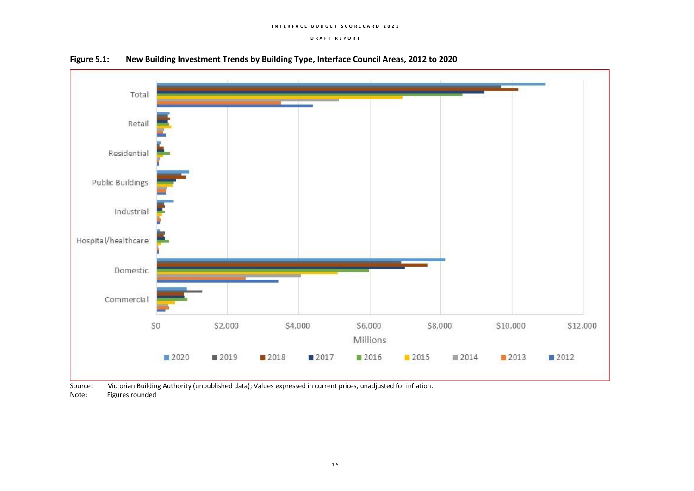#### **D R A F T R E P O R T**





Source: Victorian Building Authority (unpublished data); Values expressed in current prices, unadjusted for inflation. Note: Figures rounded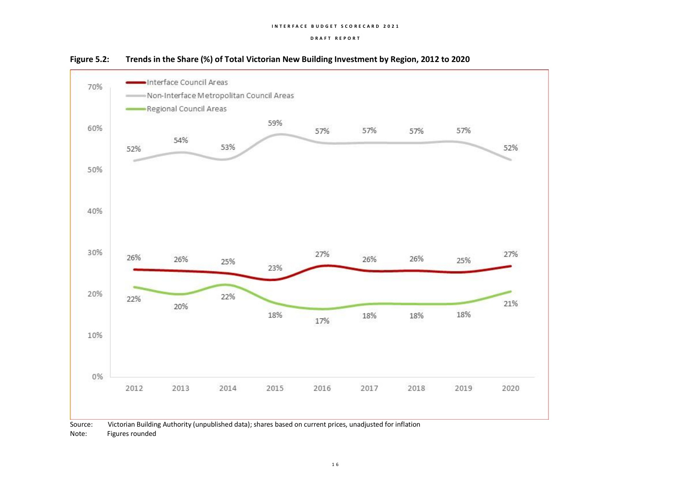



Source: Victorian Building Authority (unpublished data); shares based on current prices, unadjusted for inflation Note: Figures rounded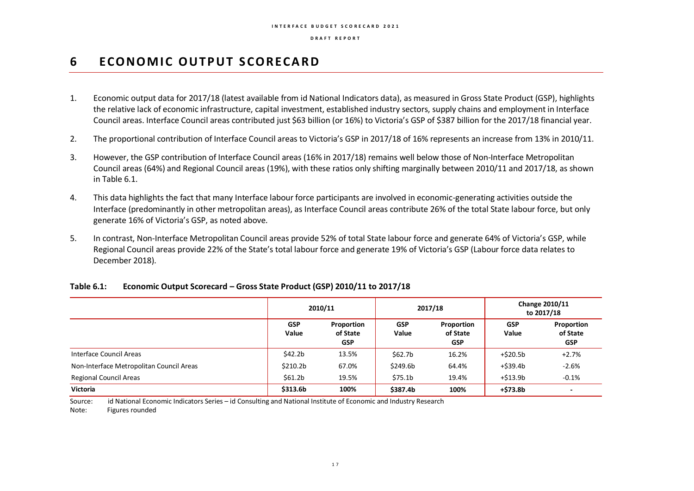## **6 ECONOMIC OUTPUT SCORECARD**

- 1. Economic output data for 2017/18 (latest available from id National Indicators data), as measured in Gross State Product (GSP), highlights the relative lack of economic infrastructure, capital investment, established industry sectors, supply chains and employment in Interface Council areas. Interface Council areas contributed just \$63 billion (or 16%) to Victoria's GSP of \$387 billion for the 2017/18 financial year.
- 2. The proportional contribution of Interface Council areas to Victoria's GSP in 2017/18 of 16% represents an increase from 13% in 2010/11.
- 3. However, the GSP contribution of Interface Council areas (16% in 2017/18) remains well below those of Non-Interface Metropolitan Council areas (64%) and Regional Council areas (19%), with these ratios only shifting marginally between 2010/11 and 2017/18, as shown in Table 6.1.
- 4. This data highlights the fact that many Interface labour force participants are involved in economic-generating activities outside the Interface (predominantly in other metropolitan areas), as Interface Council areas contribute 26% of the total State labour force, but only generate 16% of Victoria's GSP, as noted above.
- 5. In contrast, Non-Interface Metropolitan Council areas provide 52% of total State labour force and generate 64% of Victoria's GSP, while Regional Council areas provide 22% of the State's total labour force and generate 19% of Victoria's GSP (Labour force data relates to December 2018).

|                                          | 2010/11             |                                      |                     | 2017/18                              | Change 2010/11<br>to 2017/18 |                                      |  |
|------------------------------------------|---------------------|--------------------------------------|---------------------|--------------------------------------|------------------------------|--------------------------------------|--|
|                                          | <b>GSP</b><br>Value | Proportion<br>of State<br><b>GSP</b> | <b>GSP</b><br>Value | Proportion<br>of State<br><b>GSP</b> | <b>GSP</b><br>Value          | Proportion<br>of State<br><b>GSP</b> |  |
| Interface Council Areas                  | \$42.2b             | 13.5%                                | \$62.7b             | 16.2%                                | $+ $20.5b$                   | $+2.7%$                              |  |
| Non-Interface Metropolitan Council Areas | \$210.2b            | 67.0%                                | \$249.6b            | 64.4%                                | +\$39.4b                     | $-2.6%$                              |  |
| <b>Regional Council Areas</b>            | \$61.2b             | 19.5%                                | \$75.1 <sub>b</sub> | 19.4%                                | $+ $13.9b$                   | $-0.1%$                              |  |
| Victoria                                 | \$313.6b            | 100%                                 | \$387.4b            | 100%                                 | +\$73.8b                     | $\blacksquare$                       |  |

### **Table 6.1: Economic Output Scorecard – Gross State Product (GSP) 2010/11 to 2017/18**

Source: id National Economic Indicators Series – id Consulting and National Institute of Economic and Industry Research

Note: Figures rounded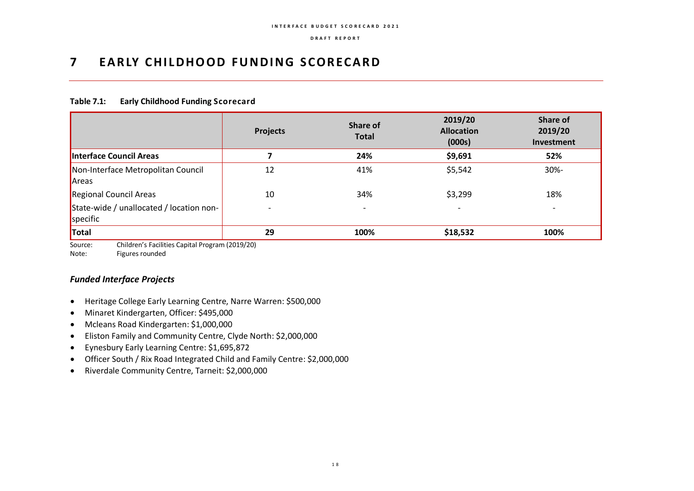## **7 EA R LY C H I L D H O O D F U N D I N G S CO R ECA R D**

## **Table 7.1: Early Childhood Funding Scorecard**

|                                                      | <b>Projects</b> | Share of<br><b>Total</b> | 2019/20<br><b>Allocation</b><br>(000s) | Share of<br>2019/20<br>Investment |
|------------------------------------------------------|-----------------|--------------------------|----------------------------------------|-----------------------------------|
| Interface Council Areas                              |                 | 24%                      | \$9,691                                | 52%                               |
| Non-Interface Metropolitan Council<br>Areas          | 12              | 41%                      | \$5,542                                | 30%-                              |
| Regional Council Areas                               | 10              | 34%                      | \$3,299                                | 18%                               |
| State-wide / unallocated / location non-<br>specific |                 | $\overline{\phantom{0}}$ |                                        | $\overline{\phantom{a}}$          |
| Total                                                | 29              | 100%                     | \$18,532                               | 100%                              |

Source: Children's Facilities Capital Program (2019/20)

Note: Figures rounded

## *Funded Interface Projects*

- Heritage College Early Learning Centre, Narre Warren: \$500,000
- Minaret Kindergarten, Officer: \$495,000
- Mcleans Road Kindergarten: \$1,000,000
- Eliston Family and Community Centre, Clyde North: \$2,000,000
- Eynesbury Early Learning Centre: \$1,695,872
- Officer South / Rix Road Integrated Child and Family Centre: \$2,000,000
- Riverdale Community Centre, Tarneit: \$2,000,000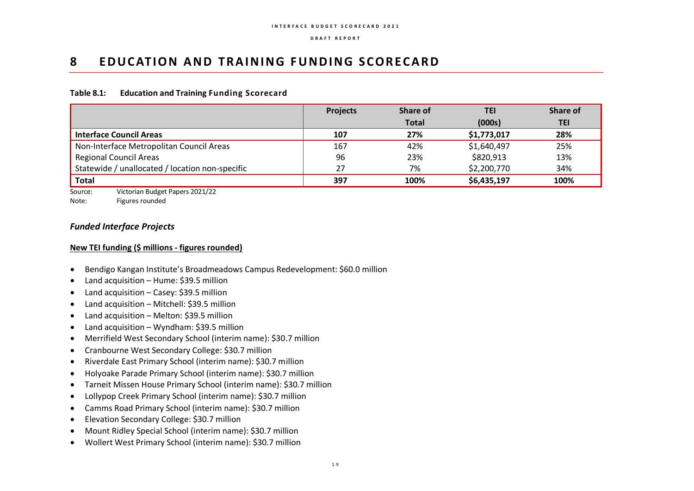## **8 <b>EDUCATION AND TRAINING FUNDING SCORECARD**

### **Table 8.1: Education and Training Funding Scorecard**

|                                                 | <b>Projects</b> | <b>Share of</b> | TEI         | <b>Share of</b> |
|-------------------------------------------------|-----------------|-----------------|-------------|-----------------|
|                                                 |                 | <b>Total</b>    | (000s)      | TEI             |
| <b>Interface Council Areas</b>                  | 107             | 27%             | \$1,773,017 | 28%             |
| Non-Interface Metropolitan Council Areas        | 167             | 42%             | \$1,640,497 | 25%             |
| <b>Regional Council Areas</b>                   | 96              | 23%             | \$820,913   | 13%             |
| Statewide / unallocated / location non-specific | 27              | 7%              | \$2,200,770 | 34%             |
| <b>Total</b>                                    | 397             | 100%            | \$6,435,197 | 100%            |

Source: Victorian Budget Papers 2021/22

Note: Figures rounded

## *Funded Interface Projects*

### **New TEI funding (\$ millions - figures rounded)**

- Bendigo Kangan Institute's Broadmeadows Campus Redevelopment: \$60.0 million
- Land acquisition Hume: \$39.5 million
- Land acquisition Casey: \$39.5 million
- Land acquisition Mitchell: \$39.5 million
- Land acquisition Melton: \$39.5 million
- Land acquisition Wyndham: \$39.5 million
- Merrifield West Secondary School (interim name): \$30.7 million
- Cranbourne West Secondary College: \$30.7 million
- Riverdale East Primary School (interim name): \$30.7 million
- Holyoake Parade Primary School (interim name): \$30.7 million
- Tarneit Missen House Primary School (interim name): \$30.7 million
- Lollypop Creek Primary School (interim name): \$30.7 million
- Camms Road Primary School (interim name): \$30.7 million
- Elevation Secondary College: \$30.7 million
- Mount Ridley Special School (interim name): \$30.7 million
- Wollert West Primary School (interim name): \$30.7 million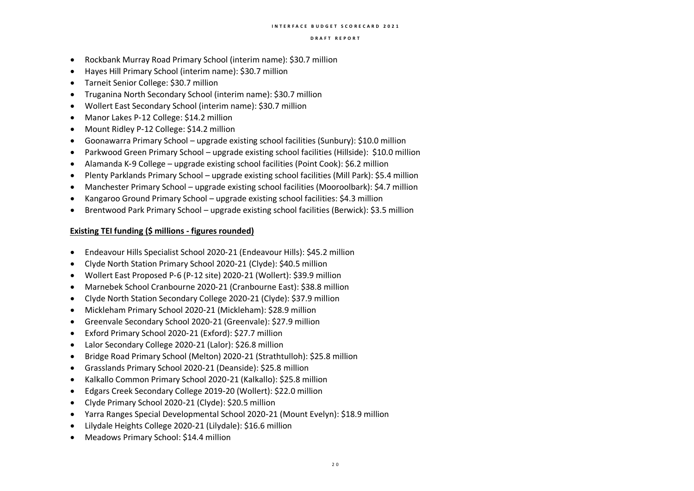- Rockbank Murray Road Primary School (interim name): \$30.7 million
- Hayes Hill Primary School (interim name): \$30.7 million
- Tarneit Senior College: \$30.7 million
- Truganina North Secondary School (interim name): \$30.7 million
- Wollert East Secondary School (interim name): \$30.7 million
- Manor Lakes P-12 College: \$14.2 million
- Mount Ridley P-12 College: \$14.2 million
- Goonawarra Primary School upgrade existing school facilities (Sunbury): \$10.0 million
- Parkwood Green Primary School upgrade existing school facilities (Hillside): \$10.0 million
- Alamanda K-9 College upgrade existing school facilities (Point Cook): \$6.2 million
- Plenty Parklands Primary School upgrade existing school facilities (Mill Park): \$5.4 million
- Manchester Primary School upgrade existing school facilities (Mooroolbark): \$4.7 million
- Kangaroo Ground Primary School upgrade existing school facilities: \$4.3 million
- Brentwood Park Primary School upgrade existing school facilities (Berwick): \$3.5 million

- Endeavour Hills Specialist School 2020‑21 (Endeavour Hills): \$45.2 million
- Clyde North Station Primary School 2020‑21 (Clyde): \$40.5 million
- Wollert East Proposed P‑6 (P‑12 site) 2020‑21 (Wollert): \$39.9 million
- Marnebek School Cranbourne 2020‑21 (Cranbourne East): \$38.8 million
- Clyde North Station Secondary College 2020‑21 (Clyde): \$37.9 million
- Mickleham Primary School 2020‑21 (Mickleham): \$28.9 million
- Greenvale Secondary School 2020‑21 (Greenvale): \$27.9 million
- Exford Primary School 2020‑21 (Exford): \$27.7 million
- Lalor Secondary College 2020‑21 (Lalor): \$26.8 million
- Bridge Road Primary School (Melton) 2020‑21 (Strathtulloh): \$25.8 million
- Grasslands Primary School 2020‑21 (Deanside): \$25.8 million
- Kalkallo Common Primary School 2020‑21 (Kalkallo): \$25.8 million
- Edgars Creek Secondary College 2019‑20 (Wollert): \$22.0 million
- Clyde Primary School 2020‑21 (Clyde): \$20.5 million
- Yarra Ranges Special Developmental School 2020‑21 (Mount Evelyn): \$18.9 million
- Lilydale Heights College 2020‑21 (Lilydale): \$16.6 million
- Meadows Primary School: \$14.4 million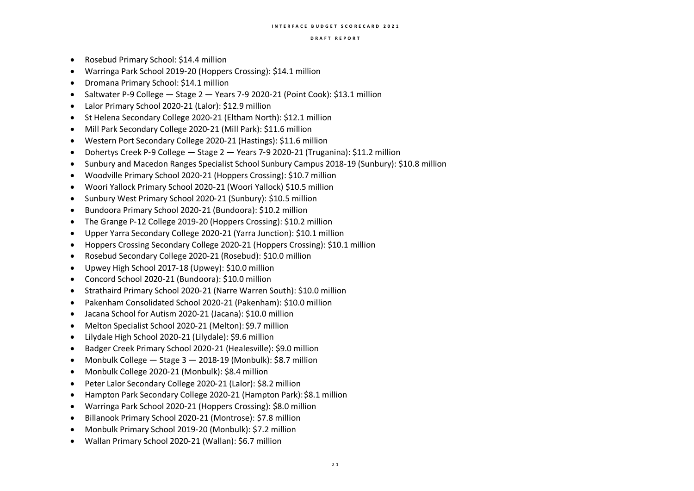- Rosebud Primary School: \$14.4 million
- Warringa Park School 2019‑20 (Hoppers Crossing): \$14.1 million
- Dromana Primary School: \$14.1 million
- Saltwater P-9 College Stage 2 Years 7-9 2020-21 (Point Cook): \$13.1 million
- Lalor Primary School 2020‑21 (Lalor): \$12.9 million
- St Helena Secondary College 2020‑21 (Eltham North): \$12.1 million
- Mill Park Secondary College 2020‑21 (Mill Park): \$11.6 million
- Western Port Secondary College 2020‑21 (Hastings): \$11.6 million
- Dohertys Creek P‑9 College Stage 2 Years 7‑9 2020‑21 (Truganina): \$11.2 million
- Sunbury and Macedon Ranges Specialist School Sunbury Campus 2018‑19 (Sunbury): \$10.8 million
- Woodville Primary School 2020‑21 (Hoppers Crossing): \$10.7 million
- Woori Yallock Primary School 2020‑21 (Woori Yallock) \$10.5 million
- Sunbury West Primary School 2020‑21 (Sunbury): \$10.5 million
- Bundoora Primary School 2020‑21 (Bundoora): \$10.2 million
- The Grange P-12 College 2019-20 (Hoppers Crossing): \$10.2 million
- Upper Yarra Secondary College 2020‑21 (Yarra Junction): \$10.1 million
- Hoppers Crossing Secondary College 2020‑21 (Hoppers Crossing): \$10.1 million
- Rosebud Secondary College 2020‑21 (Rosebud): \$10.0 million
- Upwey High School 2017‑18 (Upwey): \$10.0 million
- Concord School 2020‑21 (Bundoora): \$10.0 million
- Strathaird Primary School 2020‑21 (Narre Warren South): \$10.0 million
- Pakenham Consolidated School 2020‑21 (Pakenham): \$10.0 million
- Jacana School for Autism 2020‑21 (Jacana): \$10.0 million
- Melton Specialist School 2020-21 (Melton): \$9.7 million
- Lilydale High School 2020‑21 (Lilydale): \$9.6 million
- Badger Creek Primary School 2020‑21 (Healesville): \$9.0 million
- Monbulk College Stage 3 2018‑19 (Monbulk): \$8.7 million
- Monbulk College 2020‑21 (Monbulk): \$8.4 million
- Peter Lalor Secondary College 2020‑21 (Lalor): \$8.2 million
- Hampton Park Secondary College 2020-21 (Hampton Park): \$8.1 million
- Warringa Park School 2020‑21 (Hoppers Crossing): \$8.0 million
- Billanook Primary School 2020‑21 (Montrose): \$7.8 million
- Monbulk Primary School 2019‑20 (Monbulk): \$7.2 million
- Wallan Primary School 2020‑21 (Wallan): \$6.7 million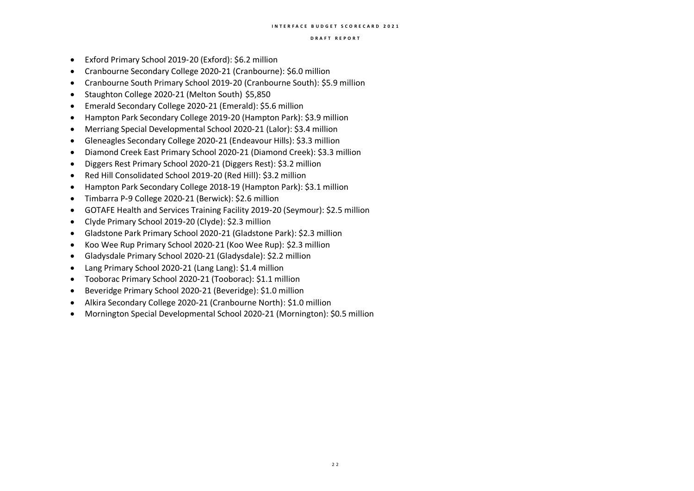- Exford Primary School 2019‑20 (Exford): \$6.2 million
- Cranbourne Secondary College 2020‑21 (Cranbourne): \$6.0 million
- Cranbourne South Primary School 2019‑20 (Cranbourne South): \$5.9 million
- Staughton College 2020‑21 (Melton South) \$5,850
- Emerald Secondary College 2020‑21 (Emerald): \$5.6 million
- Hampton Park Secondary College 2019‑20 (Hampton Park): \$3.9 million
- Merriang Special Developmental School 2020‑21 (Lalor): \$3.4 million
- Gleneagles Secondary College 2020‑21 (Endeavour Hills): \$3.3 million
- Diamond Creek East Primary School 2020‑21 (Diamond Creek): \$3.3 million
- Diggers Rest Primary School 2020‑21 (Diggers Rest): \$3.2 million
- Red Hill Consolidated School 2019‑20 (Red Hill): \$3.2 million
- Hampton Park Secondary College 2018‑19 (Hampton Park): \$3.1 million
- Timbarra P‑9 College 2020‑21 (Berwick): \$2.6 million
- GOTAFE Health and Services Training Facility 2019‑20 (Seymour): \$2.5 million
- Clyde Primary School 2019‑20 (Clyde): \$2.3 million
- Gladstone Park Primary School 2020‑21 (Gladstone Park): \$2.3 million
- Koo Wee Rup Primary School 2020‑21 (Koo Wee Rup): \$2.3 million
- Gladysdale Primary School 2020‑21 (Gladysdale): \$2.2 million
- Lang Primary School 2020‑21 (Lang Lang): \$1.4 million
- Tooborac Primary School 2020‑21 (Tooborac): \$1.1 million
- Beveridge Primary School 2020‑21 (Beveridge): \$1.0 million
- Alkira Secondary College 2020‑21 (Cranbourne North): \$1.0 million
- Mornington Special Developmental School 2020‑21 (Mornington): \$0.5 million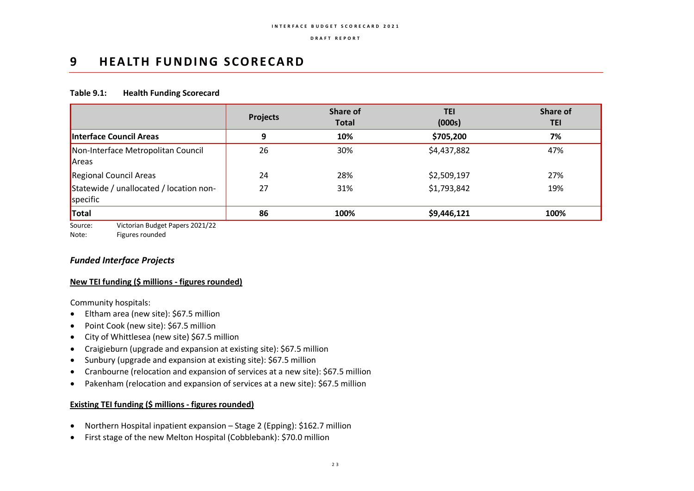## **9 HEALTH FUNDING SCORECARD**

### **Table 9.1: Health Funding Scorecard**

|                                                     | <b>Projects</b> | Share of<br><b>Total</b> | <b>TEI</b><br>(000s) | Share of<br><b>TEI</b> |
|-----------------------------------------------------|-----------------|--------------------------|----------------------|------------------------|
| Interface Council Areas                             | 9               | 10%                      | \$705,200            | 7%                     |
| Non-Interface Metropolitan Council<br>Areas         | 26              | 30%                      | \$4,437,882          | 47%                    |
| Regional Council Areas                              | 24              | 28%                      | \$2,509,197          | 27%                    |
| Statewide / unallocated / location non-<br>specific | 27              | 31%                      | \$1,793,842          | 19%                    |
| Total                                               | 86              | 100%                     | \$9,446,121          | 100%                   |

Source: Victorian Budget Papers 2021/22

Note: Figures rounded

## *Funded Interface Projects*

### **New TEI funding (\$ millions - figures rounded)**

Community hospitals:

- Eltham area (new site): \$67.5 million
- Point Cook (new site): \$67.5 million
- City of Whittlesea (new site) \$67.5 million
- Craigieburn (upgrade and expansion at existing site): \$67.5 million
- Sunbury (upgrade and expansion at existing site): \$67.5 million
- Cranbourne (relocation and expansion of services at a new site): \$67.5 million
- Pakenham (relocation and expansion of services at a new site): \$67.5 million

- Northern Hospital inpatient expansion Stage 2 (Epping): \$162.7 million
- First stage of the new Melton Hospital (Cobblebank): \$70.0 million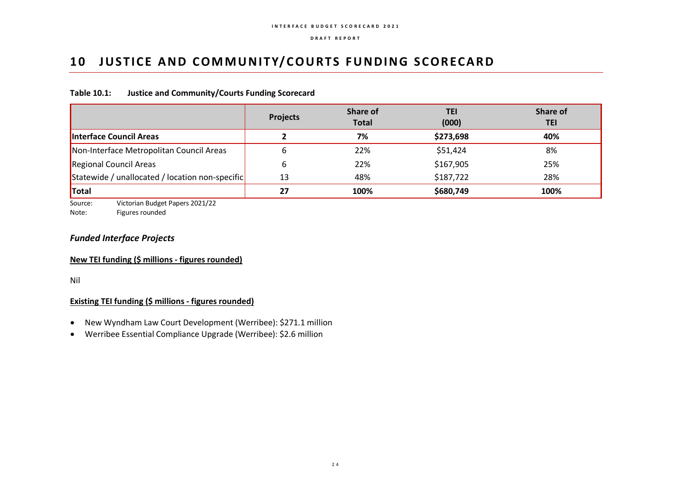## **10 JUSTICE AND COMMUNITY/COURTS FUNDING SCORECARD**

## **Table 10.1: Justice and Community/Courts Funding Scorecard**

|                                                 | <b>Projects</b> | Share of<br><b>Total</b> | TEI<br>(000) | <b>Share of</b><br>TEI |
|-------------------------------------------------|-----------------|--------------------------|--------------|------------------------|
| Interface Council Areas                         |                 | 7%                       | \$273,698    | 40%                    |
| Non-Interface Metropolitan Council Areas        | b               | 22%                      | \$51,424     | 8%                     |
| Regional Council Areas                          | 6               | 22%                      | \$167,905    | 25%                    |
| Statewide / unallocated / location non-specific | 13              | 48%                      | \$187,722    | 28%                    |
| <b>Total</b>                                    | 27              | 100%                     | \$680,749    | 100%                   |

Source: Victorian Budget Papers 2021/22 Note: Figures rounded

## *Funded Interface Projects*

## **New TEI funding (\$ millions - figures rounded)**

Nil

- New Wyndham Law Court Development (Werribee): \$271.1 million
- Werribee Essential Compliance Upgrade (Werribee): \$2.6 million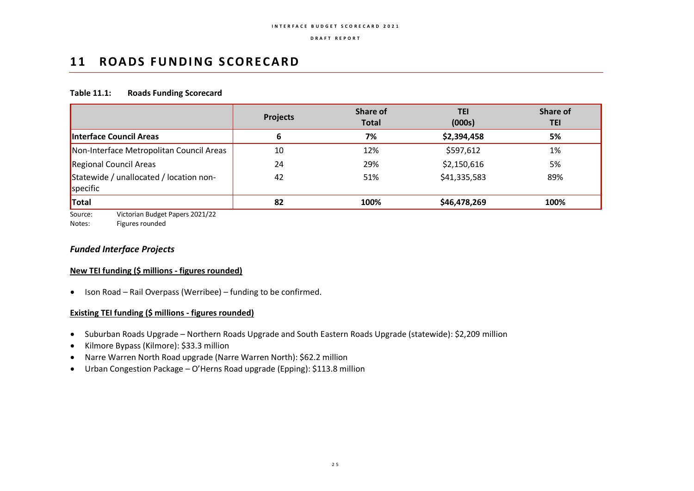## **11 ROADS FUNDING SCORECARD**

### **Table 11.1: Roads Funding Scorecard**

|                                                     | <b>Projects</b> | <b>Share of</b><br><b>Total</b> | TEI<br>(000s) | Share of<br><b>TEI</b> |
|-----------------------------------------------------|-----------------|---------------------------------|---------------|------------------------|
| Interface Council Areas                             | 6               | 7%                              | \$2,394,458   | 5%                     |
| Non-Interface Metropolitan Council Areas            | 10              | 12%                             | \$597,612     | 1%                     |
| Regional Council Areas                              | 24              | 29%                             | \$2,150,616   | 5%                     |
| Statewide / unallocated / location non-<br>specific | 42              | 51%                             | \$41,335,583  | 89%                    |
| Total                                               | 82              | 100%                            | \$46,478,269  | 100%                   |

Source: Victorian Budget Papers 2021/22

Notes: Figures rounded

## *Funded Interface Projects*

### **New TEI funding (\$ millions - figures rounded)**

• Ison Road – Rail Overpass (Werribee) – funding to be confirmed.

- Suburban Roads Upgrade Northern Roads Upgrade and South Eastern Roads Upgrade (statewide): \$2,209 million
- Kilmore Bypass (Kilmore): \$33.3 million
- Narre Warren North Road upgrade (Narre Warren North): \$62.2 million
- Urban Congestion Package O'Herns Road upgrade (Epping): \$113.8 million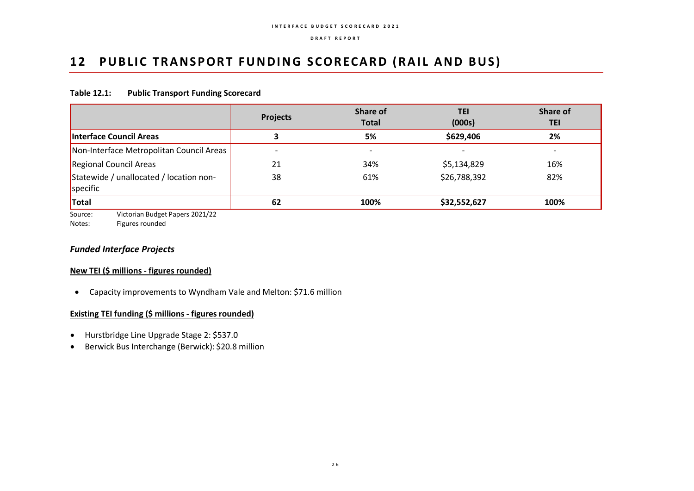## 12 PUBLIC TRANSPORT FUNDING SCORECARD (RAIL AND BUS)

### **Table 12.1: Public Transport Funding Scorecard**

| <b>Projects</b>          | Share of<br><b>Total</b> | TEI<br>(000s)            | Share of<br><b>TEI</b> |
|--------------------------|--------------------------|--------------------------|------------------------|
|                          | 5%                       | \$629,406                | 2%                     |
| $\overline{\phantom{0}}$ | $\overline{\phantom{0}}$ | $\overline{\phantom{0}}$ |                        |
| 21                       | 34%                      | \$5,134,829              | 16%                    |
| 38                       | 61%                      | \$26,788,392             | 82%                    |
| 62                       | 100%                     | \$32,552,627             | 100%                   |
|                          |                          |                          |                        |

Source: Victorian Budget Papers 2021/22

Notes: Figures rounded

## *Funded Interface Projects*

### **New TEI (\$ millions - figures rounded)**

• Capacity improvements to Wyndham Vale and Melton: \$71.6 million

- Hurstbridge Line Upgrade Stage 2: \$537.0
- Berwick Bus Interchange (Berwick): \$20.8 million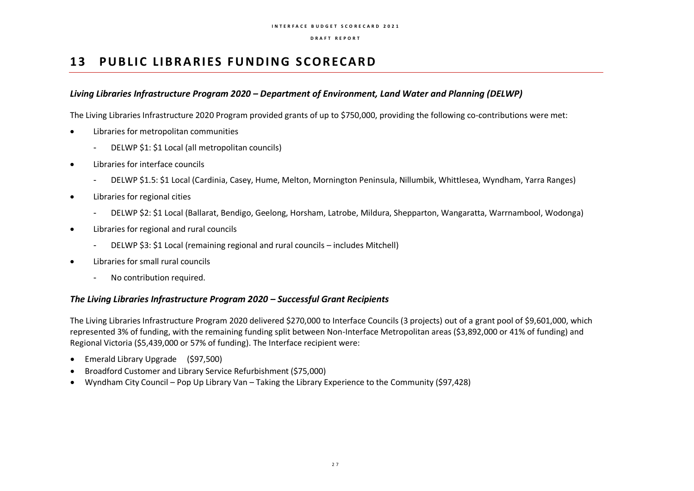## **13 PUBLIC LIBRARIES FUNDING SCORECARD**

## *Living Libraries Infrastructure Program 2020 – Department of Environment, Land Water and Planning (DELWP)*

The Living Libraries Infrastructure 2020 Program provided grants of up to \$750,000, providing the following co-contributions were met:

- Libraries for metropolitan communities
	- DELWP \$1: \$1 Local (all metropolitan councils)
- Libraries for interface councils
	- DELWP \$1.5: \$1 Local (Cardinia, Casey, Hume, Melton, Mornington Peninsula, Nillumbik, Whittlesea, Wyndham, Yarra Ranges)
- Libraries for regional cities
	- DELWP \$2: \$1 Local (Ballarat, Bendigo, Geelong, Horsham, Latrobe, Mildura, Shepparton, Wangaratta, Warrnambool, Wodonga)
- Libraries for regional and rural councils
	- DELWP \$3: \$1 Local (remaining regional and rural councils includes Mitchell)
- Libraries for small rural councils
	- No contribution required.

## *The Living Libraries Infrastructure Program 2020 – Successful Grant Recipients*

The Living Libraries Infrastructure Program 2020 delivered \$270,000 to Interface Councils (3 projects) out of a grant pool of \$9,601,000, which represented 3% of funding, with the remaining funding split between Non-Interface Metropolitan areas (\$3,892,000 or 41% of funding) and Regional Victoria (\$5,439,000 or 57% of funding). The Interface recipient were:

- Emerald Library Upgrade (\$97,500)
- Broadford Customer and Library Service Refurbishment (\$75,000)
- Wyndham City Council Pop Up Library Van Taking the Library Experience to the Community (\$97,428)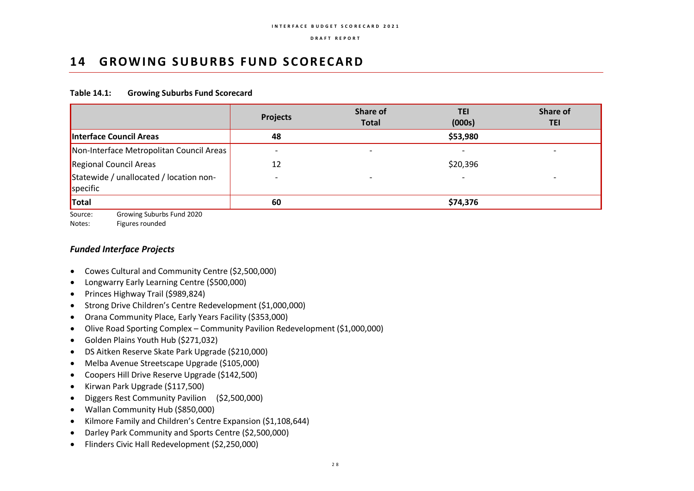## 14 **GROWING SUBURBS FUND SCORECARD**

### **Table 14.1: Growing Suburbs Fund Scorecard**

| <b>Projects</b> | Share of<br><b>Total</b> | TEI<br>(000s) | Share of<br>TEI |
|-----------------|--------------------------|---------------|-----------------|
| 48              |                          | \$53,980      |                 |
|                 |                          |               |                 |
| 12              |                          | \$20,396      |                 |
|                 | $\overline{\phantom{a}}$ |               |                 |
| 60              |                          | \$74,376      |                 |
|                 |                          |               |                 |

Source: Growing Suburbs Fund 2020

Notes: Figures rounded

## *Funded Interface Projects*

- Cowes Cultural and Community Centre (\$2,500,000)
- Longwarry Early Learning Centre (\$500,000)
- Princes Highway Trail (\$989,824)
- Strong Drive Children's Centre Redevelopment (\$1,000,000)
- Orana Community Place, Early Years Facility (\$353,000)
- Olive Road Sporting Complex Community Pavilion Redevelopment (\$1,000,000)
- Golden Plains Youth Hub (\$271,032)
- DS Aitken Reserve Skate Park Upgrade (\$210,000)
- Melba Avenue Streetscape Upgrade (\$105,000)
- Coopers Hill Drive Reserve Upgrade (\$142,500)
- Kirwan Park Upgrade (\$117,500)
- Diggers Rest Community Pavilion (\$2,500,000)
- Wallan Community Hub (\$850,000)
- Kilmore Family and Children's Centre Expansion (\$1,108,644)
- Darley Park Community and Sports Centre (\$2,500,000)
- Flinders Civic Hall Redevelopment (\$2,250,000)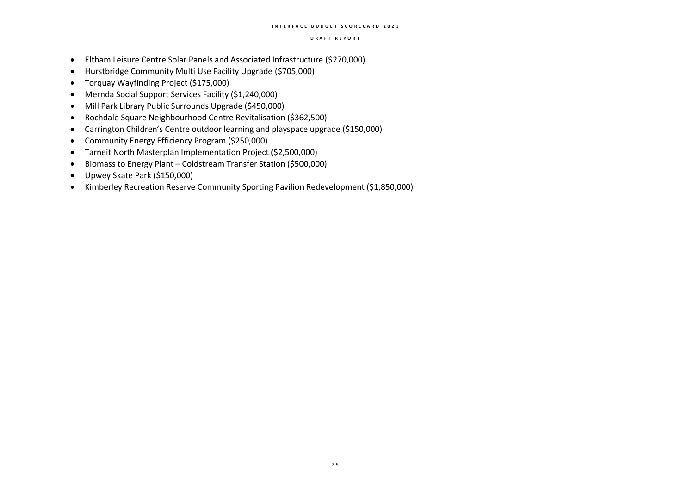- Eltham Leisure Centre Solar Panels and Associated Infrastructure (\$270,000)
- Hurstbridge Community Multi Use Facility Upgrade (\$705,000)
- Torquay Wayfinding Project (\$175,000)
- Mernda Social Support Services Facility (\$1,240,000)
- Mill Park Library Public Surrounds Upgrade (\$450,000)
- Rochdale Square Neighbourhood Centre Revitalisation (\$362,500)
- Carrington Children's Centre outdoor learning and playspace upgrade (\$150,000)
- Community Energy Efficiency Program (\$250,000)
- Tarneit North Masterplan Implementation Project (\$2,500,000)
- Biomass to Energy Plant Coldstream Transfer Station (\$500,000)
- Upwey Skate Park (\$150,000)
- Kimberley Recreation Reserve Community Sporting Pavilion Redevelopment (\$1,850,000)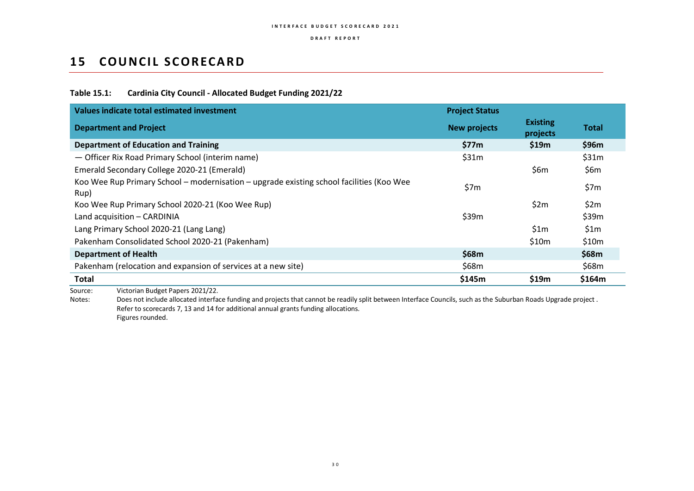## **15 COUNCIL SCORECARD**

### **Table 15.1: Cardinia City Council - Allocated Budget Funding 2021/22**

| Values indicate total estimated investment                                                       | <b>Project Status</b> |                             |              |
|--------------------------------------------------------------------------------------------------|-----------------------|-----------------------------|--------------|
| <b>Department and Project</b>                                                                    | <b>New projects</b>   | <b>Existing</b><br>projects | <b>Total</b> |
| <b>Department of Education and Training</b>                                                      | \$77m                 | \$19m                       | \$96m        |
| - Officer Rix Road Primary School (interim name)                                                 | \$31m                 |                             | \$31m        |
| Emerald Secondary College 2020-21 (Emerald)                                                      |                       | \$6m                        | \$6m         |
| Koo Wee Rup Primary School - modernisation - upgrade existing school facilities (Koo Wee<br>Rup) | \$7m                  |                             | \$7m         |
| Koo Wee Rup Primary School 2020-21 (Koo Wee Rup)                                                 |                       | \$2m                        | \$2m         |
| Land acquisition - CARDINIA                                                                      | \$39m                 |                             | \$39m        |
| Lang Primary School 2020-21 (Lang Lang)                                                          |                       | \$1m                        | \$1m         |
| Pakenham Consolidated School 2020-21 (Pakenham)                                                  |                       | \$10m                       | \$10m        |
| <b>Department of Health</b>                                                                      | \$68m                 |                             | \$68m        |
| Pakenham (relocation and expansion of services at a new site)                                    | \$68m                 |                             | \$68m        |
| Total                                                                                            | \$145m                | \$19m                       | \$164m       |

Source: Victorian Budget Papers 2021/22.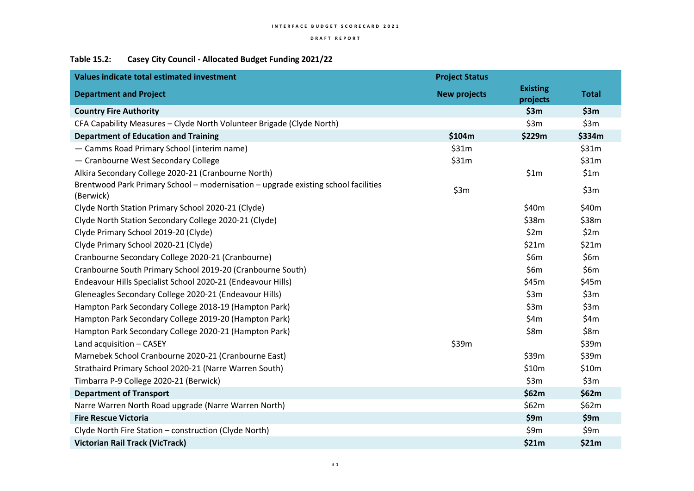## **Table 15.2: Casey City Council - Allocated Budget Funding 2021/22**

| Values indicate total estimated investment                                                      | <b>Project Status</b> |                             |              |
|-------------------------------------------------------------------------------------------------|-----------------------|-----------------------------|--------------|
| <b>Department and Project</b>                                                                   | <b>New projects</b>   | <b>Existing</b><br>projects | <b>Total</b> |
| <b>Country Fire Authority</b>                                                                   |                       | \$3m                        | \$3m         |
| CFA Capability Measures - Clyde North Volunteer Brigade (Clyde North)                           |                       | \$3m                        | \$3m         |
| <b>Department of Education and Training</b>                                                     | \$104m                | \$229m                      | \$334m       |
| - Camms Road Primary School (interim name)                                                      | \$31m                 |                             | \$31m        |
| - Cranbourne West Secondary College                                                             | \$31m                 |                             | \$31m        |
| Alkira Secondary College 2020-21 (Cranbourne North)                                             |                       | \$1m                        | \$1m         |
| Brentwood Park Primary School - modernisation - upgrade existing school facilities<br>(Berwick) | \$3m                  |                             | \$3m         |
| Clyde North Station Primary School 2020-21 (Clyde)                                              |                       | \$40m                       | \$40m        |
| Clyde North Station Secondary College 2020-21 (Clyde)                                           |                       | \$38m                       | \$38m        |
| Clyde Primary School 2019-20 (Clyde)                                                            |                       | \$2m                        | \$2m         |
| Clyde Primary School 2020-21 (Clyde)                                                            |                       | \$21m                       | \$21m        |
| Cranbourne Secondary College 2020-21 (Cranbourne)                                               |                       | \$6m                        | \$6m         |
| Cranbourne South Primary School 2019-20 (Cranbourne South)                                      |                       | \$6m                        | \$6m         |
| Endeavour Hills Specialist School 2020-21 (Endeavour Hills)                                     |                       | \$45m                       | \$45m        |
| Gleneagles Secondary College 2020-21 (Endeavour Hills)                                          |                       | \$3m                        | \$3m         |
| Hampton Park Secondary College 2018-19 (Hampton Park)                                           |                       | \$3m                        | \$3m         |
| Hampton Park Secondary College 2019-20 (Hampton Park)                                           |                       | \$4m                        | \$4m         |
| Hampton Park Secondary College 2020-21 (Hampton Park)                                           |                       | \$8m                        | \$8m         |
| Land acquisition - CASEY                                                                        | \$39m                 |                             | \$39m        |
| Marnebek School Cranbourne 2020-21 (Cranbourne East)                                            |                       | \$39m                       | \$39m        |
| Strathaird Primary School 2020-21 (Narre Warren South)                                          |                       | \$10m                       | \$10m        |
| Timbarra P-9 College 2020-21 (Berwick)                                                          |                       | \$3m                        | \$3m         |
| <b>Department of Transport</b>                                                                  |                       | \$62m                       | \$62m        |
| Narre Warren North Road upgrade (Narre Warren North)                                            |                       | \$62m                       | \$62m        |
| <b>Fire Rescue Victoria</b>                                                                     |                       | \$9m                        | \$9m         |
| Clyde North Fire Station - construction (Clyde North)                                           |                       | \$9m                        | \$9m         |
| <b>Victorian Rail Track (VicTrack)</b>                                                          |                       | \$21m                       | \$21m        |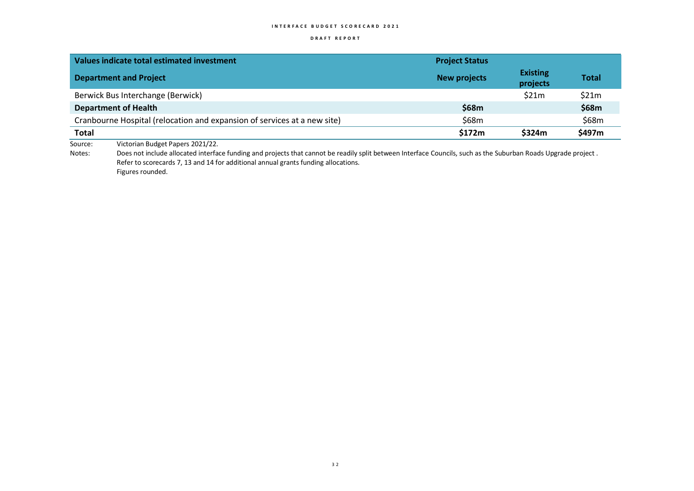### **D R A F T R E P O R T**

| Values indicate total estimated investment                                                                                                                                                                                                                                    | <b>Project Status</b> |                             |              |
|-------------------------------------------------------------------------------------------------------------------------------------------------------------------------------------------------------------------------------------------------------------------------------|-----------------------|-----------------------------|--------------|
| <b>Department and Project</b>                                                                                                                                                                                                                                                 | <b>New projects</b>   | <b>Existing</b><br>projects | <b>Total</b> |
| Berwick Bus Interchange (Berwick)                                                                                                                                                                                                                                             |                       | \$21m                       | \$21m        |
| <b>Department of Health</b>                                                                                                                                                                                                                                                   | \$68m                 |                             | \$68m        |
| Cranbourne Hospital (relocation and expansion of services at a new site)                                                                                                                                                                                                      | \$68m                 |                             | \$68m        |
| <b>Total</b>                                                                                                                                                                                                                                                                  | \$172m                | \$324m                      | \$497m       |
| Victorian Budget Papers 2021/22.<br>Source:<br>Note that the distribution of the distribution of the control of the condition of the second of the Computer Control of the condition of the control of the control of the control of the control of the control of the contro |                       |                             |              |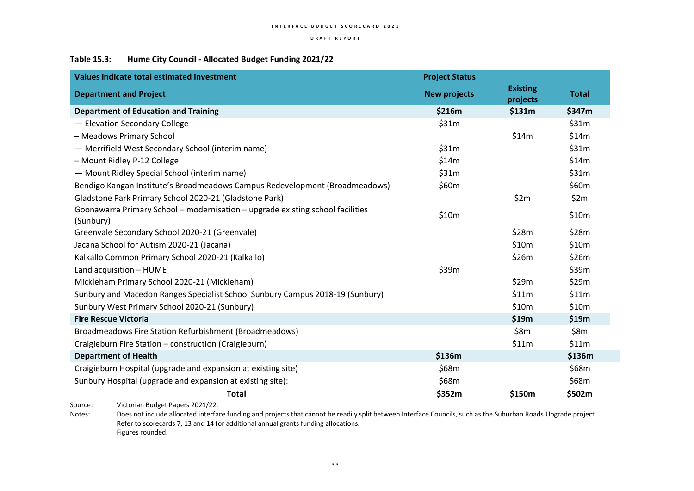## **Table 15.3: Hume City Council - Allocated Budget Funding 2021/22**

| Values indicate total estimated investment                                                  | <b>Project Status</b> |                             |              |
|---------------------------------------------------------------------------------------------|-----------------------|-----------------------------|--------------|
| <b>Department and Project</b>                                                               | <b>New projects</b>   | <b>Existing</b><br>projects | <b>Total</b> |
| <b>Department of Education and Training</b>                                                 | \$216m                | \$131m                      | \$347m       |
| - Elevation Secondary College                                                               | \$31m                 |                             | \$31m        |
| - Meadows Primary School                                                                    |                       | \$14m                       | \$14m        |
| - Merrifield West Secondary School (interim name)                                           | \$31m                 |                             | \$31m        |
| - Mount Ridley P-12 College                                                                 | \$14m                 |                             | \$14m        |
| - Mount Ridley Special School (interim name)                                                | \$31m                 |                             | \$31m        |
| Bendigo Kangan Institute's Broadmeadows Campus Redevelopment (Broadmeadows)                 | \$60m                 |                             | \$60m        |
| Gladstone Park Primary School 2020-21 (Gladstone Park)                                      |                       | \$2m                        | \$2m         |
| Goonawarra Primary School - modernisation - upgrade existing school facilities<br>(Sunbury) | \$10m                 |                             | \$10m        |
| Greenvale Secondary School 2020-21 (Greenvale)                                              |                       | \$28m                       | \$28m        |
| Jacana School for Autism 2020-21 (Jacana)                                                   |                       | \$10m                       | \$10m        |
| Kalkallo Common Primary School 2020-21 (Kalkallo)                                           |                       | \$26m                       | \$26m        |
| Land acquisition - HUME                                                                     | \$39m                 |                             | \$39m        |
| Mickleham Primary School 2020-21 (Mickleham)                                                |                       | \$29m                       | \$29m        |
| Sunbury and Macedon Ranges Specialist School Sunbury Campus 2018-19 (Sunbury)               |                       | \$11m                       | \$11m        |
| Sunbury West Primary School 2020-21 (Sunbury)                                               |                       | \$10m                       | \$10m        |
| <b>Fire Rescue Victoria</b>                                                                 |                       | \$19m                       | \$19m        |
| Broadmeadows Fire Station Refurbishment (Broadmeadows)                                      |                       | \$8m                        | \$8m         |
| Craigieburn Fire Station - construction (Craigieburn)                                       |                       | \$11m                       | \$11m        |
| <b>Department of Health</b>                                                                 | \$136m                |                             | \$136m       |
| Craigieburn Hospital (upgrade and expansion at existing site)                               | \$68m                 |                             | \$68m        |
| Sunbury Hospital (upgrade and expansion at existing site):                                  | \$68m                 |                             | \$68m        |
| <b>Total</b><br>$\frac{1}{2}$                                                               | \$352m                | \$150m                      | \$502m       |

Source: Victorian Budget Papers 2021/22.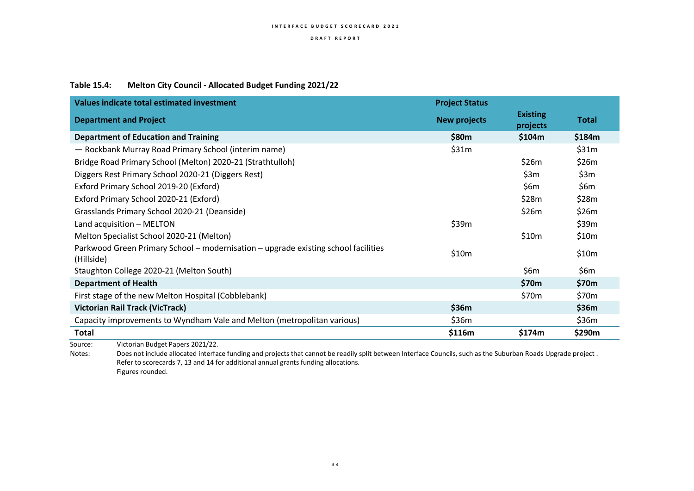## **Table 15.4: Melton City Council - Allocated Budget Funding 2021/22**

| Values indicate total estimated investment                                                       | <b>Project Status</b> |                             |                   |
|--------------------------------------------------------------------------------------------------|-----------------------|-----------------------------|-------------------|
| <b>Department and Project</b>                                                                    | <b>New projects</b>   | <b>Existing</b><br>projects | Total             |
| <b>Department of Education and Training</b>                                                      | \$80m                 | \$104m                      | \$184m            |
| - Rockbank Murray Road Primary School (interim name)                                             | \$31m                 |                             | \$31m             |
| Bridge Road Primary School (Melton) 2020-21 (Strathtulloh)                                       |                       | \$26m                       | \$26m             |
| Diggers Rest Primary School 2020-21 (Diggers Rest)                                               |                       | \$3m                        | \$3m              |
| Exford Primary School 2019-20 (Exford)                                                           |                       | \$6 $m$                     | \$6m              |
| Exford Primary School 2020-21 (Exford)                                                           |                       | \$28m                       | \$28m             |
| Grasslands Primary School 2020-21 (Deanside)                                                     |                       | \$26m                       | \$26m             |
| Land acquisition - MELTON                                                                        | \$39m                 |                             | \$39m             |
| Melton Specialist School 2020-21 (Melton)                                                        |                       | \$10m                       | \$10m             |
| Parkwood Green Primary School - modernisation - upgrade existing school facilities<br>(Hillside) | \$10m                 |                             | \$10m             |
| Staughton College 2020-21 (Melton South)                                                         |                       | \$6m                        | \$6m              |
| <b>Department of Health</b>                                                                      |                       | \$70m                       | \$70m             |
| First stage of the new Melton Hospital (Cobblebank)                                              |                       | \$70m                       | \$70 <sub>m</sub> |
| <b>Victorian Rail Track (VicTrack)</b>                                                           | \$36m                 |                             | \$36m             |
| Capacity improvements to Wyndham Vale and Melton (metropolitan various)                          | \$36m                 |                             | \$36m             |
| Total                                                                                            | \$116m                | \$174m                      | \$290m            |
| Victorian Budget Papers 2021/22.<br>Source:                                                      |                       |                             |                   |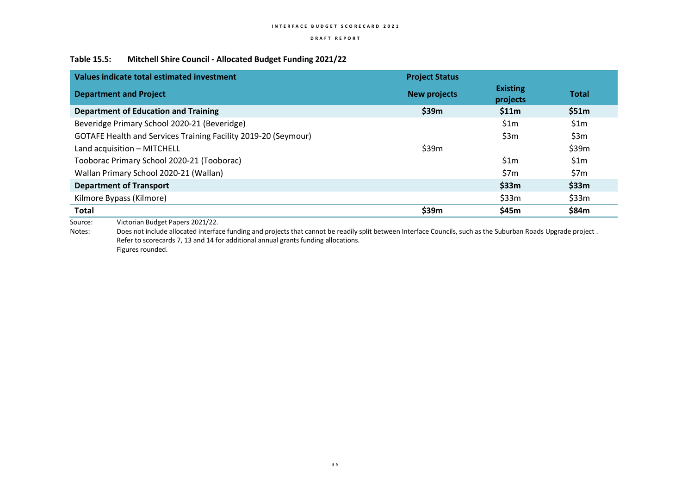### **D R A F T R E P O R T**

### **Table 15.5: Mitchell Shire Council - Allocated Budget Funding 2021/22**

| <b>Existing</b><br><b>New projects</b><br>projects<br>\$11m<br>\$1m | <b>Total</b><br>\$51m<br>\$1m |
|---------------------------------------------------------------------|-------------------------------|
|                                                                     |                               |
|                                                                     |                               |
|                                                                     |                               |
| \$3m                                                                | \$3m                          |
|                                                                     | \$39m                         |
| \$1m                                                                | \$1m                          |
| \$7m                                                                | \$7m                          |
| \$33m                                                               | \$33m                         |
| \$33m                                                               | \$33m                         |
| \$45m                                                               | \$84m                         |
|                                                                     |                               |

Source: Victorian Budget Papers 2021/22.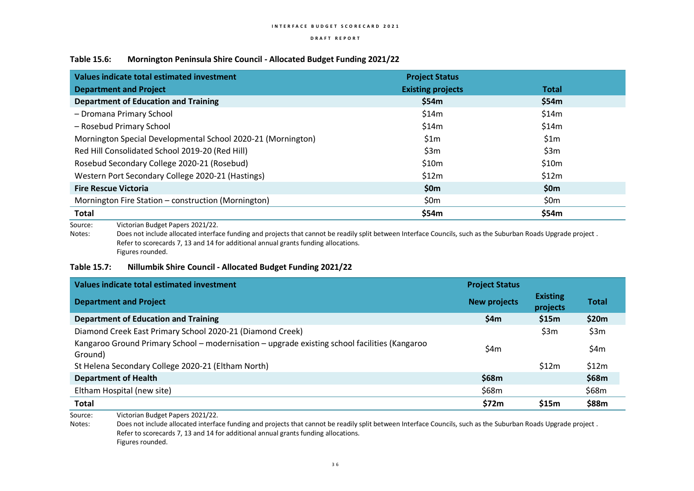### **Table 15.6: Mornington Peninsula Shire Council - Allocated Budget Funding 2021/22**

| Values indicate total estimated investment                   | <b>Project Status</b>    |              |
|--------------------------------------------------------------|--------------------------|--------------|
| <b>Department and Project</b>                                | <b>Existing projects</b> | <b>Total</b> |
| <b>Department of Education and Training</b>                  | \$54m                    | \$54m        |
| - Dromana Primary School                                     | \$14m                    | \$14m        |
| - Rosebud Primary School                                     | \$14m                    | \$14m        |
| Mornington Special Developmental School 2020-21 (Mornington) | \$1m                     | \$1m         |
| Red Hill Consolidated School 2019-20 (Red Hill)              | \$3m                     | \$3m         |
| Rosebud Secondary College 2020-21 (Rosebud)                  | \$10m                    | \$10m        |
| Western Port Secondary College 2020-21 (Hastings)            | \$12m                    | \$12m        |
| <b>Fire Rescue Victoria</b>                                  | \$0m                     | \$0m         |
| Mornington Fire Station - construction (Mornington)          | \$0m                     | \$0m         |
| <b>Total</b>                                                 | \$54m                    | \$54m        |
| Victorian Rudget Daners 2021/22<br>S <sub>O</sub>            |                          |              |

Source: Victorian Budget Papers 2021/22. Notes: Does not include allocated interface funding and projects that cannot be readily split between Interface Councils, such as the Suburban Roads Upgrade project. Refer to scorecards 7, 13 and 14 for additional annual grants funding allocations. Figures rounded.

## **Table 15.7: Nillumbik Shire Council - Allocated Budget Funding 2021/22**

| Values indicate total estimated investment                                                               | <b>Project Status</b> |                             |              |
|----------------------------------------------------------------------------------------------------------|-----------------------|-----------------------------|--------------|
| <b>Department and Project</b>                                                                            | <b>New projects</b>   | <b>Existing</b><br>projects | <b>Total</b> |
| <b>Department of Education and Training</b>                                                              | \$4m                  | \$15m                       | \$20m        |
| Diamond Creek East Primary School 2020-21 (Diamond Creek)                                                |                       | \$3m                        | \$3m         |
| Kangaroo Ground Primary School - modernisation - upgrade existing school facilities (Kangaroo<br>Ground) | \$4m                  |                             | \$4m         |
| St Helena Secondary College 2020-21 (Eltham North)                                                       |                       | \$12m                       | \$12m        |
| <b>Department of Health</b>                                                                              | \$68m                 |                             | \$68m        |
| Eltham Hospital (new site)                                                                               | \$68m                 |                             | \$68m        |
| <b>Total</b>                                                                                             | \$72m                 | \$15m                       | \$88m        |

Source: Victorian Budget Papers 2021/22.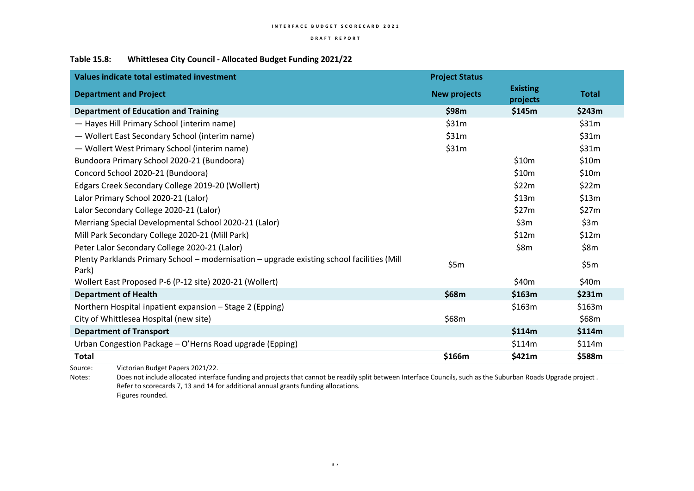### **D R A F T R E P O R T**

## **Table 15.8: Whittlesea City Council - Allocated Budget Funding 2021/22**

| <b>Values indicate total estimated investment</b>                                                   | <b>Project Status</b> |                             |              |
|-----------------------------------------------------------------------------------------------------|-----------------------|-----------------------------|--------------|
| <b>Department and Project</b>                                                                       | <b>New projects</b>   | <b>Existing</b><br>projects | <b>Total</b> |
| <b>Department of Education and Training</b>                                                         | \$98m                 | \$145m                      | \$243m       |
| - Hayes Hill Primary School (interim name)                                                          | \$31m                 |                             | \$31m        |
| - Wollert East Secondary School (interim name)                                                      | \$31m                 |                             | \$31m        |
| - Wollert West Primary School (interim name)                                                        | \$31m                 |                             | \$31m        |
| Bundoora Primary School 2020-21 (Bundoora)                                                          |                       | \$10m                       | \$10m        |
| Concord School 2020-21 (Bundoora)                                                                   |                       | \$10m                       | \$10m        |
| Edgars Creek Secondary College 2019-20 (Wollert)                                                    |                       | \$22m                       | \$22m        |
| Lalor Primary School 2020-21 (Lalor)                                                                |                       | \$13m                       | \$13m        |
| Lalor Secondary College 2020-21 (Lalor)                                                             |                       | \$27m                       | \$27m        |
| Merriang Special Developmental School 2020-21 (Lalor)                                               |                       | \$3m                        | \$3m         |
| Mill Park Secondary College 2020-21 (Mill Park)                                                     |                       | \$12m                       | \$12m        |
| Peter Lalor Secondary College 2020-21 (Lalor)                                                       |                       | \$8m                        | \$8m         |
| Plenty Parklands Primary School - modernisation - upgrade existing school facilities (Mill<br>Park) | \$5m                  |                             | \$5m         |
| Wollert East Proposed P-6 (P-12 site) 2020-21 (Wollert)                                             |                       | \$40m                       | \$40m        |
| <b>Department of Health</b>                                                                         | \$68m                 | \$163m                      | \$231m       |
| Northern Hospital inpatient expansion - Stage 2 (Epping)                                            |                       | \$163m                      | \$163m       |
| City of Whittlesea Hospital (new site)                                                              | \$68m                 |                             | \$68m        |
| <b>Department of Transport</b>                                                                      |                       | \$114m                      | \$114m       |
| Urban Congestion Package - O'Herns Road upgrade (Epping)                                            |                       | \$114m                      | \$114m       |
| <b>Total</b>                                                                                        | \$166m                | \$421m                      | \$588m       |

Source: Victorian Budget Papers 2021/22.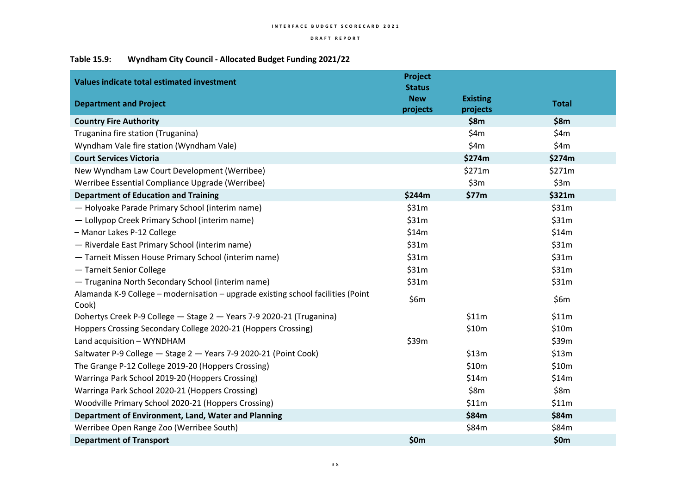## **Table 15.9: Wyndham City Council - Allocated Budget Funding 2021/22**

| <b>Values indicate total estimated investment</b><br><b>Department and Project</b>        | Project<br><b>Status</b><br><b>New</b> | <b>Existing</b> | <b>Total</b> |
|-------------------------------------------------------------------------------------------|----------------------------------------|-----------------|--------------|
|                                                                                           | projects                               | projects        |              |
| <b>Country Fire Authority</b>                                                             |                                        | \$8m            | \$8m         |
| Truganina fire station (Truganina)                                                        |                                        | \$4m            | \$4m         |
| Wyndham Vale fire station (Wyndham Vale)                                                  |                                        | \$4m            | \$4m         |
| <b>Court Services Victoria</b>                                                            |                                        | \$274m          | \$274m       |
| New Wyndham Law Court Development (Werribee)                                              |                                        | \$271m          | \$271m       |
| Werribee Essential Compliance Upgrade (Werribee)                                          |                                        | \$3m            | \$3m         |
| <b>Department of Education and Training</b>                                               | \$244m                                 | \$77m           | \$321m       |
| - Holyoake Parade Primary School (interim name)                                           | \$31m                                  |                 | \$31m        |
| - Lollypop Creek Primary School (interim name)                                            | \$31m                                  |                 | \$31m        |
| - Manor Lakes P-12 College                                                                | \$14m                                  |                 | \$14m        |
| - Riverdale East Primary School (interim name)                                            | \$31m                                  |                 | \$31m        |
| - Tarneit Missen House Primary School (interim name)                                      | \$31m                                  |                 | \$31m        |
| - Tarneit Senior College                                                                  | \$31m                                  |                 | \$31m        |
| - Truganina North Secondary School (interim name)                                         | \$31m                                  |                 | \$31m        |
| Alamanda K-9 College - modernisation - upgrade existing school facilities (Point<br>Cook) | \$6m                                   |                 | \$6m         |
| Dohertys Creek P-9 College - Stage 2 - Years 7-9 2020-21 (Truganina)                      |                                        | \$11m           | \$11m        |
| Hoppers Crossing Secondary College 2020-21 (Hoppers Crossing)                             |                                        | \$10m           | \$10m        |
| Land acquisition - WYNDHAM                                                                | \$39m                                  |                 | \$39m        |
| Saltwater P-9 College - Stage 2 - Years 7-9 2020-21 (Point Cook)                          |                                        | \$13m           | \$13m        |
| The Grange P-12 College 2019-20 (Hoppers Crossing)                                        |                                        | \$10m           | \$10m        |
| Warringa Park School 2019-20 (Hoppers Crossing)                                           |                                        | \$14m           | \$14m        |
| Warringa Park School 2020-21 (Hoppers Crossing)                                           |                                        | \$8m            | \$8m         |
| Woodville Primary School 2020-21 (Hoppers Crossing)                                       |                                        | \$11m           | \$11m        |
| Department of Environment, Land, Water and Planning                                       |                                        | \$84m           | \$84m        |
| Werribee Open Range Zoo (Werribee South)                                                  |                                        | \$84m           | \$84m        |
| <b>Department of Transport</b>                                                            | \$0m                                   |                 | \$0m         |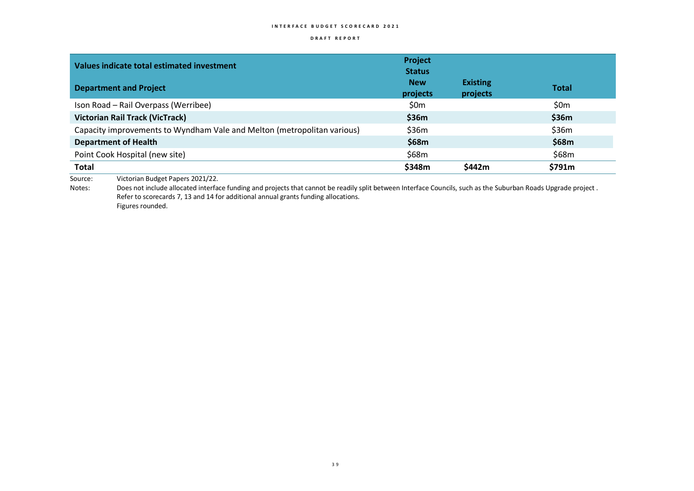### **D R A F T R E P O R T**

| Values indicate total estimated investment                              | Project<br><b>Status</b> |                             |              |
|-------------------------------------------------------------------------|--------------------------|-----------------------------|--------------|
| <b>Department and Project</b>                                           | <b>New</b><br>projects   | <b>Existing</b><br>projects | <b>Total</b> |
| Ison Road - Rail Overpass (Werribee)                                    | \$0m                     |                             | \$0m         |
| <b>Victorian Rail Track (VicTrack)</b>                                  | \$36m                    |                             | \$36m        |
| Capacity improvements to Wyndham Vale and Melton (metropolitan various) | \$36m                    |                             | \$36m        |
| <b>Department of Health</b>                                             | \$68m                    |                             | \$68m        |
| Point Cook Hospital (new site)                                          | \$68m                    |                             | \$68m        |
| <b>Total</b>                                                            | \$348m                   | \$442m                      | \$791m       |

Source: Victorian Budget Papers 2021/22.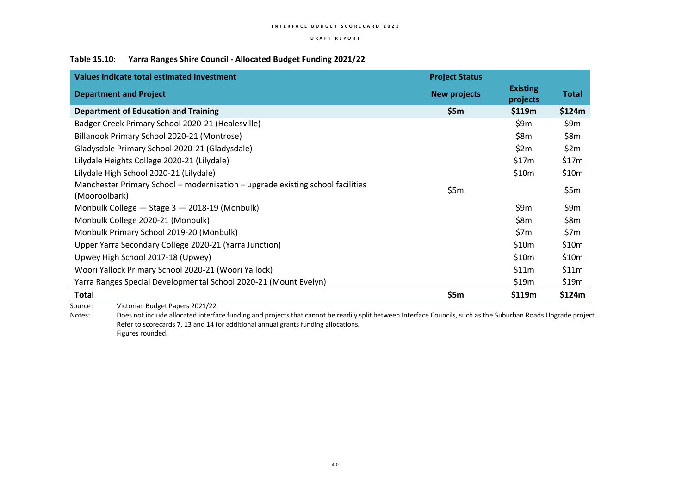### **D R A F T R E P O R T**

### **Table 15.10: Yarra Ranges Shire Council - Allocated Budget Funding 2021/22**

| <b>Project Status</b> |                             |        |
|-----------------------|-----------------------------|--------|
| <b>New projects</b>   | <b>Existing</b><br>projects | Total  |
| \$5m                  | \$119m                      | \$124m |
|                       | \$9m                        | \$9m   |
|                       | \$8m                        | \$8m   |
|                       | \$2m                        | \$2m   |
|                       | \$17m                       | \$17m  |
|                       | \$10m                       | \$10m  |
| \$5m                  |                             | \$5m   |
|                       | \$9m                        | \$9m   |
|                       | \$8m                        | \$8m   |
|                       | \$7m                        | \$7m   |
|                       | \$10m                       | \$10m  |
|                       | \$10m                       | \$10m  |
|                       | \$11m                       | \$11m  |
|                       | \$19m                       | \$19m  |
| \$5m                  | \$119m                      | \$124m |
|                       |                             |        |

Source: Victorian Budget Papers 2021/22.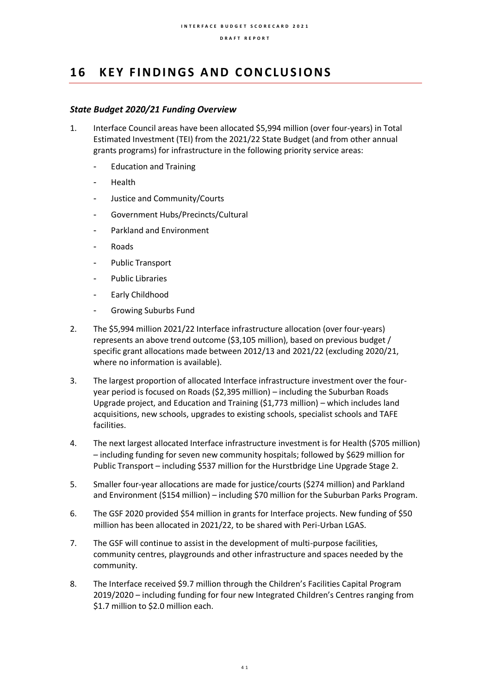## 16 **KEY FINDINGS AND CONCLUSIONS**

## *State Budget 2020/21 Funding Overview*

- 1. Interface Council areas have been allocated \$5,994 million (over four-years) in Total Estimated Investment (TEI) from the 2021/22 State Budget (and from other annual grants programs) for infrastructure in the following priority service areas:
	- Education and Training
	- Health
	- Justice and Community/Courts
	- Government Hubs/Precincts/Cultural
	- Parkland and Environment
	- **Roads**
	- Public Transport
	- Public Libraries
	- Early Childhood
	- Growing Suburbs Fund
- 2. The \$5,994 million 2021/22 Interface infrastructure allocation (over four-years) represents an above trend outcome (\$3,105 million), based on previous budget / specific grant allocations made between 2012/13 and 2021/22 (excluding 2020/21, where no information is available).
- 3. The largest proportion of allocated Interface infrastructure investment over the fouryear period is focused on Roads (\$2,395 million) – including the Suburban Roads Upgrade project, and Education and Training (\$1,773 million) – which includes land acquisitions, new schools, upgrades to existing schools, specialist schools and TAFE facilities.
- 4. The next largest allocated Interface infrastructure investment is for Health (\$705 million) – including funding for seven new community hospitals; followed by \$629 million for Public Transport – including \$537 million for the Hurstbridge Line Upgrade Stage 2.
- 5. Smaller four-year allocations are made for justice/courts (\$274 million) and Parkland and Environment (\$154 million) – including \$70 million for the Suburban Parks Program.
- 6. The GSF 2020 provided \$54 million in grants for Interface projects. New funding of \$50 million has been allocated in 2021/22, to be shared with Peri-Urban LGAS.
- 7. The GSF will continue to assist in the development of multi-purpose facilities, community centres, playgrounds and other infrastructure and spaces needed by the community.
- 8. The Interface received \$9.7 million through the Children's Facilities Capital Program 2019/2020 – including funding for four new Integrated Children's Centres ranging from \$1.7 million to \$2.0 million each.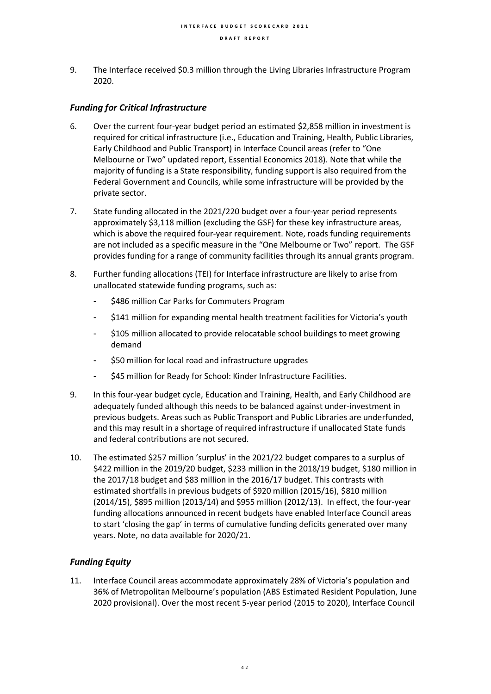9. The Interface received \$0.3 million through the Living Libraries Infrastructure Program 2020.

### *Funding for Critical Infrastructure*

- 6. Over the current four-year budget period an estimated \$2,858 million in investment is required for critical infrastructure (i.e., Education and Training, Health, Public Libraries, Early Childhood and Public Transport) in Interface Council areas (refer to "One Melbourne or Two" updated report, Essential Economics 2018). Note that while the majority of funding is a State responsibility, funding support is also required from the Federal Government and Councils, while some infrastructure will be provided by the private sector.
- 7. State funding allocated in the 2021/220 budget over a four-year period represents approximately \$3,118 million (excluding the GSF) for these key infrastructure areas, which is above the required four-year requirement. Note, roads funding requirements are not included as a specific measure in the "One Melbourne or Two" report. The GSF provides funding for a range of community facilities through its annual grants program.
- 8. Further funding allocations (TEI) for Interface infrastructure are likely to arise from unallocated statewide funding programs, such as:
	- \$486 million Car Parks for Commuters Program
	- \$141 million for expanding mental health treatment facilities for Victoria's youth
	- \$105 million allocated to provide relocatable school buildings to meet growing demand
	- \$50 million for local road and infrastructure upgrades
	- \$45 million for Ready for School: Kinder Infrastructure Facilities.
- 9. In this four-year budget cycle, Education and Training, Health, and Early Childhood are adequately funded although this needs to be balanced against under-investment in previous budgets. Areas such as Public Transport and Public Libraries are underfunded, and this may result in a shortage of required infrastructure if unallocated State funds and federal contributions are not secured.
- 10. The estimated \$257 million 'surplus' in the 2021/22 budget compares to a surplus of \$422 million in the 2019/20 budget, \$233 million in the 2018/19 budget, \$180 million in the 2017/18 budget and \$83 million in the 2016/17 budget. This contrasts with estimated shortfalls in previous budgets of \$920 million (2015/16), \$810 million (2014/15), \$895 million (2013/14) and \$955 million (2012/13). In effect, the four-year funding allocations announced in recent budgets have enabled Interface Council areas to start 'closing the gap' in terms of cumulative funding deficits generated over many years. Note, no data available for 2020/21.

## *Funding Equity*

11. Interface Council areas accommodate approximately 28% of Victoria's population and 36% of Metropolitan Melbourne's population (ABS Estimated Resident Population, June 2020 provisional). Over the most recent 5-year period (2015 to 2020), Interface Council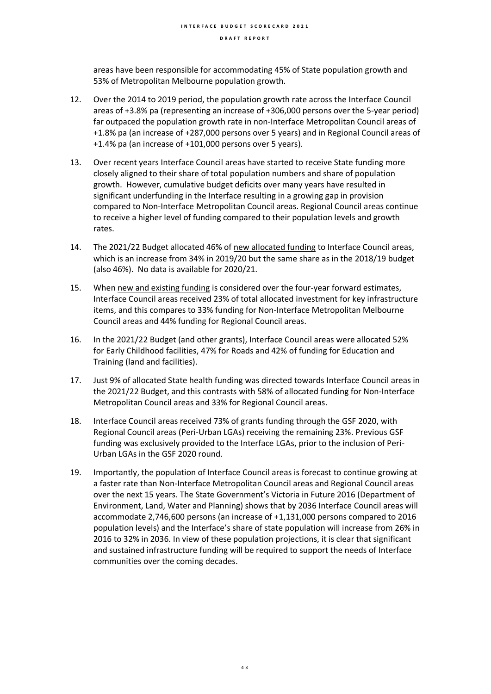areas have been responsible for accommodating 45% of State population growth and 53% of Metropolitan Melbourne population growth.

- 12. Over the 2014 to 2019 period, the population growth rate across the Interface Council areas of +3.8% pa (representing an increase of +306,000 persons over the 5-year period) far outpaced the population growth rate in non-Interface Metropolitan Council areas of +1.8% pa (an increase of +287,000 persons over 5 years) and in Regional Council areas of +1.4% pa (an increase of +101,000 persons over 5 years).
- 13. Over recent years Interface Council areas have started to receive State funding more closely aligned to their share of total population numbers and share of population growth. However, cumulative budget deficits over many years have resulted in significant underfunding in the Interface resulting in a growing gap in provision compared to Non-Interface Metropolitan Council areas. Regional Council areas continue to receive a higher level of funding compared to their population levels and growth rates.
- 14. The 2021/22 Budget allocated 46% of new allocated funding to Interface Council areas, which is an increase from 34% in 2019/20 but the same share as in the 2018/19 budget (also 46%). No data is available for 2020/21.
- 15. When new and existing funding is considered over the four-year forward estimates, Interface Council areas received 23% of total allocated investment for key infrastructure items, and this compares to 33% funding for Non-Interface Metropolitan Melbourne Council areas and 44% funding for Regional Council areas.
- 16. In the 2021/22 Budget (and other grants), Interface Council areas were allocated 52% for Early Childhood facilities, 47% for Roads and 42% of funding for Education and Training (land and facilities).
- 17. Just 9% of allocated State health funding was directed towards Interface Council areas in the 2021/22 Budget, and this contrasts with 58% of allocated funding for Non-Interface Metropolitan Council areas and 33% for Regional Council areas.
- 18. Interface Council areas received 73% of grants funding through the GSF 2020, with Regional Council areas (Peri-Urban LGAs) receiving the remaining 23%. Previous GSF funding was exclusively provided to the Interface LGAs, prior to the inclusion of Peri-Urban LGAs in the GSF 2020 round.
- 19. Importantly, the population of Interface Council areas is forecast to continue growing at a faster rate than Non-Interface Metropolitan Council areas and Regional Council areas over the next 15 years. The State Government's Victoria in Future 2016 (Department of Environment, Land, Water and Planning) shows that by 2036 Interface Council areas will accommodate 2,746,600 persons (an increase of +1,131,000 persons compared to 2016 population levels) and the Interface's share of state population will increase from 26% in 2016 to 32% in 2036. In view of these population projections, it is clear that significant and sustained infrastructure funding will be required to support the needs of Interface communities over the coming decades.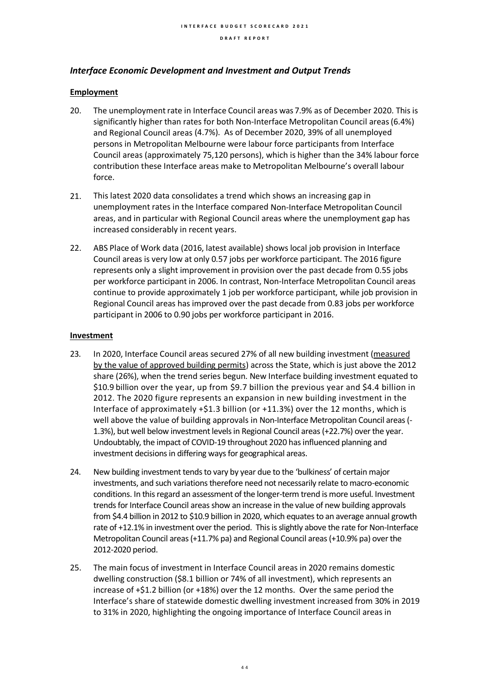### *Interface Economic Development and Investment and Output Trends*

### **Employment**

- 20. The unemployment rate in Interface Council areas was 7.9% as of December 2020. This is significantly higher than rates for both Non-Interface Metropolitan Council areas(6.4%) and Regional Council areas (4.7%). As of December 2020, 39% of all unemployed persons in Metropolitan Melbourne were labour force participants from Interface Council areas (approximately 75,120 persons), which is higher than the 34% labour force contribution these Interface areas make to Metropolitan Melbourne's overall labour force.
- 21. This latest 2020 data consolidates a trend which shows an increasing gap in unemployment rates in the Interface compared Non-Interface Metropolitan Council areas, and in particular with Regional Council areas where the unemployment gap has increased considerably in recent years.
- 22. ABS Place of Work data (2016, latest available) shows local job provision in Interface Council areas is very low at only 0.57 jobs per workforce participant. The 2016 figure represents only a slight improvement in provision over the past decade from 0.55 jobs per workforce participant in 2006. In contrast, Non-Interface Metropolitan Council areas continue to provide approximately 1 job per workforce participant, while job provision in Regional Council areas has improved over the past decade from 0.83 jobs per workforce participant in 2006 to 0.90 jobs per workforce participant in 2016.

### **Investment**

- 23. In 2020, Interface Council areas secured 27% of all new building investment (measured by the value of approved building permits) across the State, which is just above the 2012 share (26%), when the trend series begun. New Interface building investment equated to \$10.9 billion over the year, up from \$9.7 billion the previous year and \$4.4 billion in 2012. The 2020 figure represents an expansion in new building investment in the Interface of approximately +\$1.3 billion (or +11.3%) over the 12 months, which is well above the value of building approvals in Non-Interface Metropolitan Council areas (- 1.3%), but well below investment levels in Regional Council areas (+22.7%) over the year. Undoubtably, the impact of COVID-19 throughout 2020 has influenced planning and investment decisions in differing ways for geographical areas.
- 24. New building investment tends to vary by year due to the 'bulkiness' of certain major investments, and such variations therefore need not necessarily relate to macro-economic conditions. In this regard an assessment of the longer-term trend is more useful. Investment trends for Interface Council areas show an increase in the value of new building approvals from \$4.4 billion in 2012 to \$10.9 billion in 2020, which equates to an average annual growth rate of +12.1% in investment over the period. This is slightly above the rate for Non-Interface Metropolitan Council areas (+11.7% pa) and Regional Council areas (+10.9% pa) over the 2012-2020 period.
- 25. The main focus of investment in Interface Council areas in 2020 remains domestic dwelling construction (\$8.1 billion or 74% of all investment), which represents an increase of +\$1.2 billion (or +18%) over the 12 months. Over the same period the Interface's share of statewide domestic dwelling investment increased from 30% in 2019 to 31% in 2020, highlighting the ongoing importance of Interface Council areas in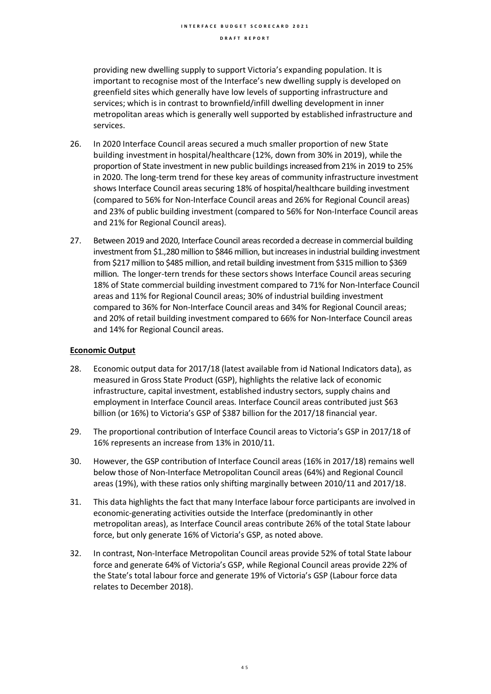providing new dwelling supply to support Victoria's expanding population. It is important to recognise most of the Interface's new dwelling supply is developed on greenfield sites which generally have low levels of supporting infrastructure and services; which is in contrast to brownfield/infill dwelling development in inner metropolitan areas which is generally well supported by established infrastructure and services.

- 26. In 2020 Interface Council areas secured a much smaller proportion of new State building investmentin hospital/healthcare (12%, down from 30% in 2019), while the proportion of State investment in new public buildings increased from 21% in 2019 to 25% in 2020. The long-term trend for these key areas of community infrastructure investment shows Interface Council areas securing 18% of hospital/healthcare building investment (compared to 56% for Non-Interface Council areas and 26% for Regional Council areas) and 23% of public building investment (compared to 56% for Non-Interface Council areas and 21% for Regional Council areas).
- 27. Between 2019 and 2020, Interface Council areas recorded a decrease in commercial building investment from \$1.,280 million to \$846 million, but increases in industrial building investment from \$217 million to \$485 million, and retail building investment from \$315 million to \$369 million. The longer-tern trends for these sectors shows Interface Council areas securing 18% of State commercial building investment compared to 71% for Non-Interface Council areas and 11% for Regional Council areas; 30% of industrial building investment compared to 36% for Non-Interface Council areas and 34% for Regional Council areas; and 20% of retail building investment compared to 66% for Non-Interface Council areas and 14% for Regional Council areas.

### **Economic Output**

- 28. Economic output data for 2017/18 (latest available from id National Indicators data), as measured in Gross State Product (GSP), highlights the relative lack of economic infrastructure, capital investment, established industry sectors, supply chains and employment in Interface Council areas. Interface Council areas contributed just \$63 billion (or 16%) to Victoria's GSP of \$387 billion for the 2017/18 financial year.
- 29. The proportional contribution of Interface Council areas to Victoria's GSP in 2017/18 of 16% represents an increase from 13% in 2010/11.
- 30. However, the GSP contribution of Interface Council areas (16% in 2017/18) remains well below those of Non-Interface Metropolitan Council areas (64%) and Regional Council areas (19%), with these ratios only shifting marginally between 2010/11 and 2017/18.
- 31. This data highlights the fact that many Interface labour force participants are involved in economic-generating activities outside the Interface (predominantly in other metropolitan areas), as Interface Council areas contribute 26% of the total State labour force, but only generate 16% of Victoria's GSP, as noted above.
- 32. In contrast, Non-Interface Metropolitan Council areas provide 52% of total State labour force and generate 64% of Victoria's GSP, while Regional Council areas provide 22% of the State's total labour force and generate 19% of Victoria's GSP (Labour force data relates to December 2018).